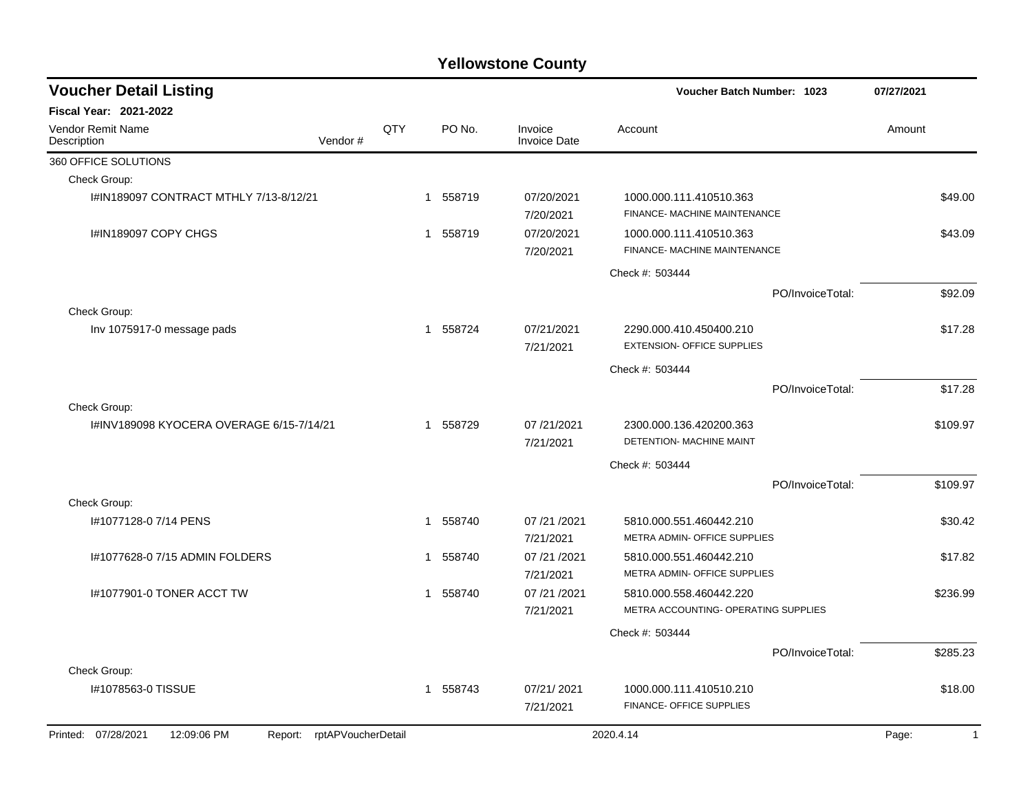| <b>Voucher Detail Listing</b>                                       |     |                          |                                | <b>Voucher Batch Number: 1023</b>                               | 07/27/2021              |
|---------------------------------------------------------------------|-----|--------------------------|--------------------------------|-----------------------------------------------------------------|-------------------------|
| <b>Fiscal Year: 2021-2022</b>                                       |     |                          |                                |                                                                 |                         |
| <b>Vendor Remit Name</b><br>Vendor#<br>Description                  | QTY | PO No.                   | Invoice<br><b>Invoice Date</b> | Account                                                         | Amount                  |
| 360 OFFICE SOLUTIONS                                                |     |                          |                                |                                                                 |                         |
| Check Group:                                                        |     |                          |                                |                                                                 |                         |
| I#IN189097 CONTRACT MTHLY 7/13-8/12/21                              |     | 1 558719                 | 07/20/2021<br>7/20/2021        | 1000.000.111.410510.363<br>FINANCE- MACHINE MAINTENANCE         | \$49.00                 |
| I#IN189097 COPY CHGS                                                |     | 558719<br>$\mathbf{1}$   | 07/20/2021<br>7/20/2021        | 1000.000.111.410510.363<br>FINANCE- MACHINE MAINTENANCE         | \$43.09                 |
|                                                                     |     |                          |                                | Check #: 503444                                                 |                         |
|                                                                     |     |                          |                                | PO/InvoiceTotal:                                                | \$92.09                 |
| Check Group:                                                        |     |                          |                                |                                                                 |                         |
| Inv 1075917-0 message pads                                          |     | 558724<br>$\mathbf{1}$   | 07/21/2021<br>7/21/2021        | 2290.000.410.450400.210<br><b>EXTENSION- OFFICE SUPPLIES</b>    | \$17.28                 |
|                                                                     |     |                          |                                | Check #: 503444                                                 |                         |
|                                                                     |     |                          |                                | PO/InvoiceTotal:                                                | \$17.28                 |
| Check Group:                                                        |     |                          |                                |                                                                 |                         |
| I#INV189098 KYOCERA OVERAGE 6/15-7/14/21                            |     | 558729<br>1              | 07/21/2021<br>7/21/2021        | 2300.000.136.420200.363<br>DETENTION- MACHINE MAINT             | \$109.97                |
|                                                                     |     |                          |                                | Check #: 503444                                                 |                         |
|                                                                     |     |                          |                                | PO/InvoiceTotal:                                                | \$109.97                |
| Check Group:                                                        |     |                          |                                |                                                                 |                         |
| I#1077128-0 7/14 PENS                                               |     | 558740<br>$\overline{1}$ | 07 /21 /2021<br>7/21/2021      | 5810.000.551.460442.210<br>METRA ADMIN- OFFICE SUPPLIES         | \$30.42                 |
| I#1077628-0 7/15 ADMIN FOLDERS                                      |     | 558740<br>1              | 07/21/2021<br>7/21/2021        | 5810.000.551.460442.210<br>METRA ADMIN- OFFICE SUPPLIES         | \$17.82                 |
| 1#1077901-0 TONER ACCT TW                                           |     | 558740<br>$\mathbf 1$    | 07 /21 /2021<br>7/21/2021      | 5810.000.558.460442.220<br>METRA ACCOUNTING- OPERATING SUPPLIES | \$236.99                |
|                                                                     |     |                          |                                | Check #: 503444                                                 |                         |
|                                                                     |     |                          |                                | PO/InvoiceTotal:                                                | \$285.23                |
| Check Group:                                                        |     |                          |                                |                                                                 |                         |
| I#1078563-0 TISSUE                                                  |     | 558743<br>$\mathbf{1}$   | 07/21/2021                     | 1000.000.111.410510.210                                         | \$18.00                 |
|                                                                     |     |                          | 7/21/2021                      | FINANCE- OFFICE SUPPLIES                                        |                         |
| Printed: 07/28/2021<br>12:09:06 PM<br>rptAPVoucherDetail<br>Report: |     |                          |                                | 2020.4.14                                                       | Page:<br>$\overline{1}$ |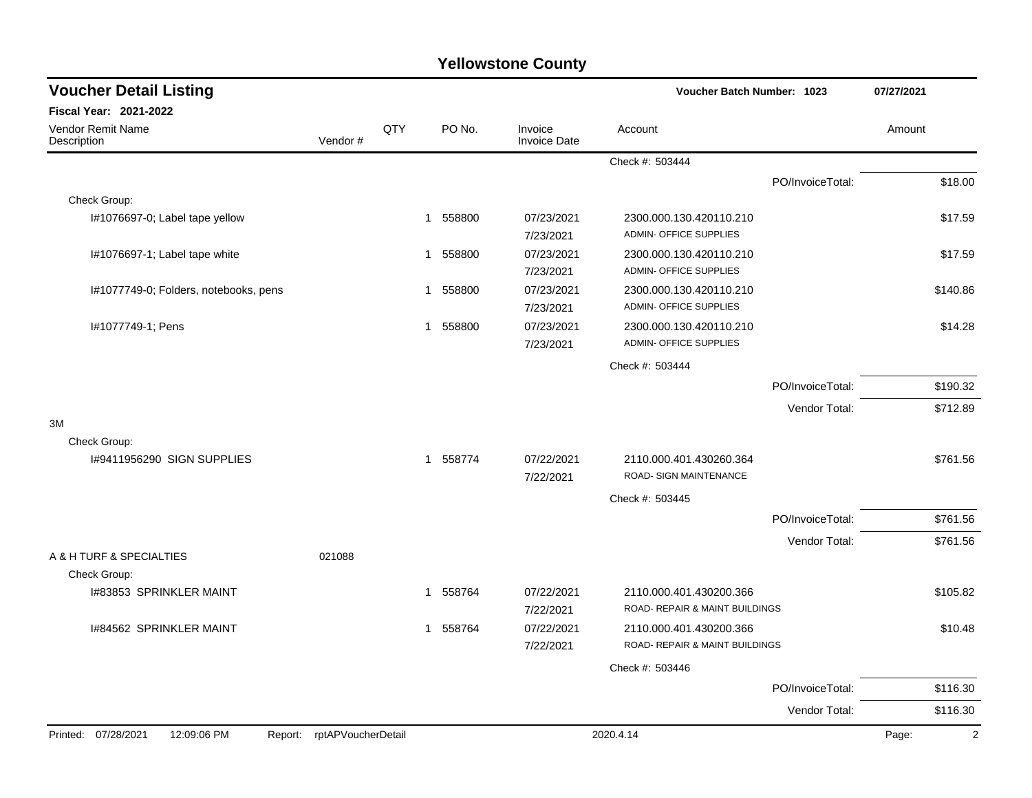| <b>Voucher Detail Listing</b>           |                            |             |                        |                                | Voucher Batch Number: 1023                                |                  | 07/27/2021              |
|-----------------------------------------|----------------------------|-------------|------------------------|--------------------------------|-----------------------------------------------------------|------------------|-------------------------|
| Fiscal Year: 2021-2022                  |                            |             |                        |                                |                                                           |                  |                         |
| <b>Vendor Remit Name</b><br>Description | Vendor#                    | QTY         | PO No.                 | Invoice<br><b>Invoice Date</b> | Account                                                   |                  | Amount                  |
|                                         |                            |             |                        |                                | Check #: 503444                                           |                  |                         |
|                                         |                            |             |                        |                                |                                                           | PO/InvoiceTotal: | \$18.00                 |
| Check Group:                            |                            |             |                        |                                |                                                           |                  |                         |
| I#1076697-0; Label tape yellow          |                            |             | 558800<br>1            | 07/23/2021<br>7/23/2021        | 2300.000.130.420110.210<br>ADMIN- OFFICE SUPPLIES         |                  | \$17.59                 |
| I#1076697-1; Label tape white           |                            |             | 558800<br>1            | 07/23/2021<br>7/23/2021        | 2300.000.130.420110.210<br><b>ADMIN- OFFICE SUPPLIES</b>  |                  | \$17.59                 |
| I#1077749-0; Folders, notebooks, pens   |                            | 1           | 558800                 | 07/23/2021<br>7/23/2021        | 2300.000.130.420110.210<br>ADMIN- OFFICE SUPPLIES         |                  | \$140.86                |
| #1077749-1; Pens                        |                            | $\mathbf 1$ | 558800                 | 07/23/2021<br>7/23/2021        | 2300.000.130.420110.210<br>ADMIN- OFFICE SUPPLIES         |                  | \$14.28                 |
|                                         |                            |             |                        |                                | Check #: 503444                                           |                  |                         |
|                                         |                            |             |                        |                                |                                                           | PO/InvoiceTotal: | \$190.32                |
|                                         |                            |             |                        |                                |                                                           | Vendor Total:    | \$712.89                |
| 3M                                      |                            |             |                        |                                |                                                           |                  |                         |
| Check Group:                            |                            |             |                        |                                |                                                           |                  |                         |
| 1#9411956290 SIGN SUPPLIES              |                            |             | 558774<br>$\mathbf{1}$ | 07/22/2021<br>7/22/2021        | 2110.000.401.430260.364<br>ROAD- SIGN MAINTENANCE         |                  | \$761.56                |
|                                         |                            |             |                        |                                | Check #: 503445                                           |                  |                         |
|                                         |                            |             |                        |                                |                                                           | PO/InvoiceTotal: | \$761.56                |
| A & H TURF & SPECIALTIES                | 021088                     |             |                        |                                |                                                           | Vendor Total:    | \$761.56                |
| Check Group:                            |                            |             |                        |                                |                                                           |                  |                         |
| 1#83853 SPRINKLER MAINT                 |                            |             | 558764<br>1            | 07/22/2021<br>7/22/2021        | 2110.000.401.430200.366<br>ROAD- REPAIR & MAINT BUILDINGS |                  | \$105.82                |
| 1#84562 SPRINKLER MAINT                 |                            |             | 558764<br>1            | 07/22/2021<br>7/22/2021        | 2110.000.401.430200.366<br>ROAD- REPAIR & MAINT BUILDINGS |                  | \$10.48                 |
|                                         |                            |             |                        |                                | Check #: 503446                                           |                  |                         |
|                                         |                            |             |                        |                                |                                                           | PO/InvoiceTotal: | \$116.30                |
|                                         |                            |             |                        |                                |                                                           | Vendor Total:    | \$116.30                |
| Printed: 07/28/2021<br>12:09:06 PM      | Report: rptAPVoucherDetail |             |                        |                                | 2020.4.14                                                 |                  | $\overline{2}$<br>Page: |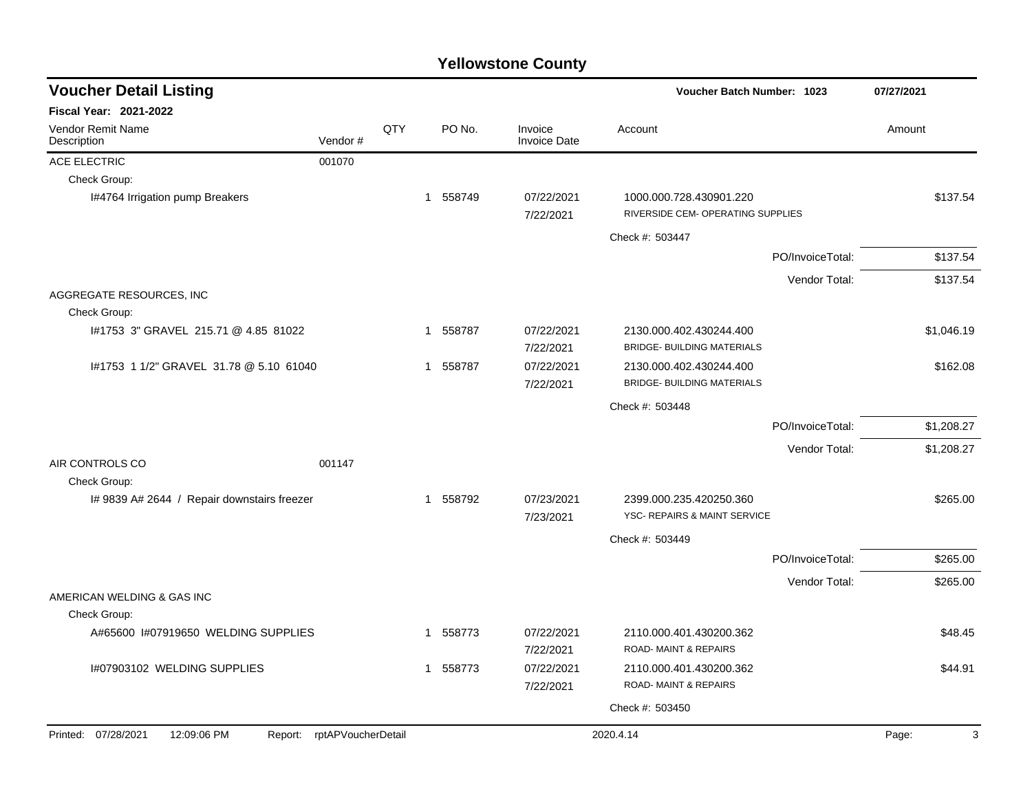| <b>Voucher Detail Listing</b>                 |                    |     |              |          |                                | <b>Voucher Batch Number: 1023</b>                            |                  | 07/27/2021 |  |
|-----------------------------------------------|--------------------|-----|--------------|----------|--------------------------------|--------------------------------------------------------------|------------------|------------|--|
| Fiscal Year: 2021-2022                        |                    |     |              |          |                                |                                                              |                  |            |  |
| Vendor Remit Name<br>Description              | Vendor#            | QTY |              | PO No.   | Invoice<br><b>Invoice Date</b> | Account                                                      |                  | Amount     |  |
| ACE ELECTRIC                                  | 001070             |     |              |          |                                |                                                              |                  |            |  |
| Check Group:                                  |                    |     |              |          |                                |                                                              |                  |            |  |
| I#4764 Irrigation pump Breakers               |                    |     |              | 1 558749 | 07/22/2021<br>7/22/2021        | 1000.000.728.430901.220<br>RIVERSIDE CEM- OPERATING SUPPLIES |                  | \$137.54   |  |
|                                               |                    |     |              |          |                                | Check #: 503447                                              |                  |            |  |
|                                               |                    |     |              |          |                                |                                                              | PO/InvoiceTotal: | \$137.54   |  |
|                                               |                    |     |              |          |                                |                                                              | Vendor Total:    | \$137.54   |  |
| AGGREGATE RESOURCES, INC.                     |                    |     |              |          |                                |                                                              |                  |            |  |
| Check Group:                                  |                    |     |              |          |                                |                                                              |                  |            |  |
| #1753 3" GRAVEL 215.71 @ 4.85 81022           |                    |     |              | 1 558787 | 07/22/2021<br>7/22/2021        | 2130.000.402.430244.400<br><b>BRIDGE- BUILDING MATERIALS</b> |                  | \$1,046.19 |  |
| #1753 1 1/2" GRAVEL 31.78 @ 5.10 61040        |                    |     | $\mathbf{1}$ | 558787   | 07/22/2021<br>7/22/2021        | 2130.000.402.430244.400<br><b>BRIDGE- BUILDING MATERIALS</b> |                  | \$162.08   |  |
|                                               |                    |     |              |          |                                | Check #: 503448                                              |                  |            |  |
|                                               |                    |     |              |          |                                |                                                              | PO/InvoiceTotal: | \$1,208.27 |  |
|                                               |                    |     |              |          |                                |                                                              | Vendor Total:    | \$1,208.27 |  |
| AIR CONTROLS CO<br>Check Group:               | 001147             |     |              |          |                                |                                                              |                  |            |  |
| I# 9839 A# 2644 / Repair downstairs freezer   |                    |     |              | 1 558792 | 07/23/2021<br>7/23/2021        | 2399.000.235.420250.360<br>YSC- REPAIRS & MAINT SERVICE      |                  | \$265.00   |  |
|                                               |                    |     |              |          |                                | Check #: 503449                                              |                  |            |  |
|                                               |                    |     |              |          |                                |                                                              | PO/InvoiceTotal: | \$265.00   |  |
|                                               |                    |     |              |          |                                |                                                              | Vendor Total:    | \$265.00   |  |
| AMERICAN WELDING & GAS INC<br>Check Group:    |                    |     |              |          |                                |                                                              |                  |            |  |
| A#65600 I#07919650 WELDING SUPPLIES           |                    |     |              | 1 558773 | 07/22/2021<br>7/22/2021        | 2110.000.401.430200.362<br><b>ROAD-MAINT &amp; REPAIRS</b>   |                  | \$48.45    |  |
| I#07903102 WELDING SUPPLIES                   |                    |     |              | 1 558773 | 07/22/2021<br>7/22/2021        | 2110.000.401.430200.362<br><b>ROAD-MAINT &amp; REPAIRS</b>   |                  | \$44.91    |  |
|                                               |                    |     |              |          |                                | Check #: 503450                                              |                  |            |  |
|                                               | rptAPVoucherDetail |     |              |          |                                | 2020.4.14                                                    |                  | 3          |  |
| Printed: 07/28/2021<br>12:09:06 PM<br>Report: |                    |     |              |          |                                |                                                              |                  | Page:      |  |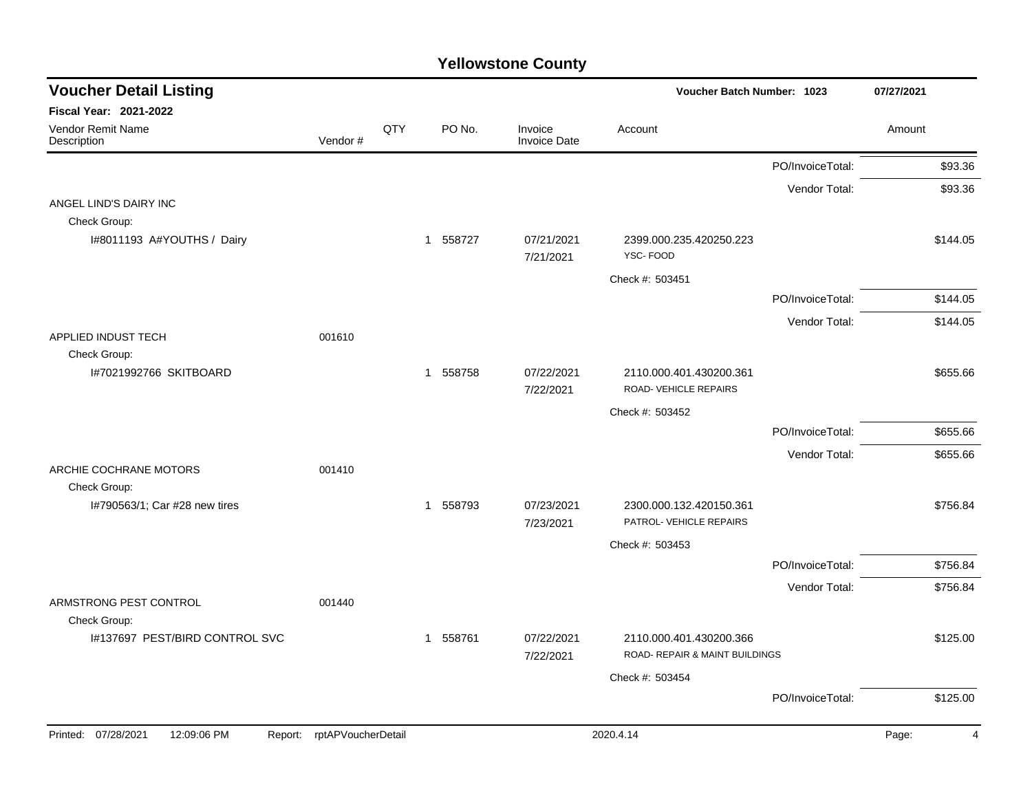| <b>Voucher Detail Listing</b>                 |                    |     |          |                                | Voucher Batch Number: 1023          |                  |                         |  |  |
|-----------------------------------------------|--------------------|-----|----------|--------------------------------|-------------------------------------|------------------|-------------------------|--|--|
| Fiscal Year: 2021-2022                        |                    |     |          |                                |                                     |                  |                         |  |  |
| Vendor Remit Name<br>Description              | Vendor#            | QTY | PO No.   | Invoice<br><b>Invoice Date</b> | Account                             |                  | Amount                  |  |  |
|                                               |                    |     |          |                                |                                     | PO/InvoiceTotal: | \$93.36                 |  |  |
|                                               |                    |     |          |                                |                                     | Vendor Total:    | \$93.36                 |  |  |
| ANGEL LIND'S DAIRY INC                        |                    |     |          |                                |                                     |                  |                         |  |  |
| Check Group:                                  |                    |     |          |                                |                                     |                  |                         |  |  |
| I#8011193 A#YOUTHS / Dairy                    |                    |     | 1 558727 | 07/21/2021<br>7/21/2021        | 2399.000.235.420250.223<br>YSC-FOOD |                  | \$144.05                |  |  |
|                                               |                    |     |          |                                | Check #: 503451                     |                  |                         |  |  |
|                                               |                    |     |          |                                |                                     | PO/InvoiceTotal: | \$144.05                |  |  |
|                                               |                    |     |          |                                |                                     | Vendor Total:    | \$144.05                |  |  |
| APPLIED INDUST TECH<br>Check Group:           | 001610             |     |          |                                |                                     |                  |                         |  |  |
| I#7021992766 SKITBOARD                        |                    |     | 1 558758 | 07/22/2021                     | 2110.000.401.430200.361             |                  | \$655.66                |  |  |
|                                               |                    |     |          | 7/22/2021                      | ROAD-VEHICLE REPAIRS                |                  |                         |  |  |
|                                               |                    |     |          |                                | Check #: 503452                     |                  |                         |  |  |
|                                               |                    |     |          |                                |                                     | PO/InvoiceTotal: | \$655.66                |  |  |
|                                               |                    |     |          |                                |                                     | Vendor Total:    | \$655.66                |  |  |
| ARCHIE COCHRANE MOTORS<br>Check Group:        | 001410             |     |          |                                |                                     |                  |                         |  |  |
| I#790563/1; Car #28 new tires                 |                    |     | 1 558793 | 07/23/2021                     | 2300.000.132.420150.361             |                  | \$756.84                |  |  |
|                                               |                    |     |          | 7/23/2021                      | PATROL- VEHICLE REPAIRS             |                  |                         |  |  |
|                                               |                    |     |          |                                | Check #: 503453                     |                  |                         |  |  |
|                                               |                    |     |          |                                |                                     | PO/InvoiceTotal: | \$756.84                |  |  |
|                                               |                    |     |          |                                |                                     | Vendor Total:    | \$756.84                |  |  |
| ARMSTRONG PEST CONTROL<br>Check Group:        | 001440             |     |          |                                |                                     |                  |                         |  |  |
| I#137697 PEST/BIRD CONTROL SVC                |                    |     | 1 558761 | 07/22/2021                     | 2110.000.401.430200.366             |                  | \$125.00                |  |  |
|                                               |                    |     |          | 7/22/2021                      | ROAD- REPAIR & MAINT BUILDINGS      |                  |                         |  |  |
|                                               |                    |     |          |                                | Check #: 503454                     |                  |                         |  |  |
|                                               |                    |     |          |                                |                                     | PO/InvoiceTotal: | \$125.00                |  |  |
| Printed: 07/28/2021<br>12:09:06 PM<br>Report: | rptAPVoucherDetail |     |          |                                | 2020.4.14                           |                  | Page:<br>$\overline{4}$ |  |  |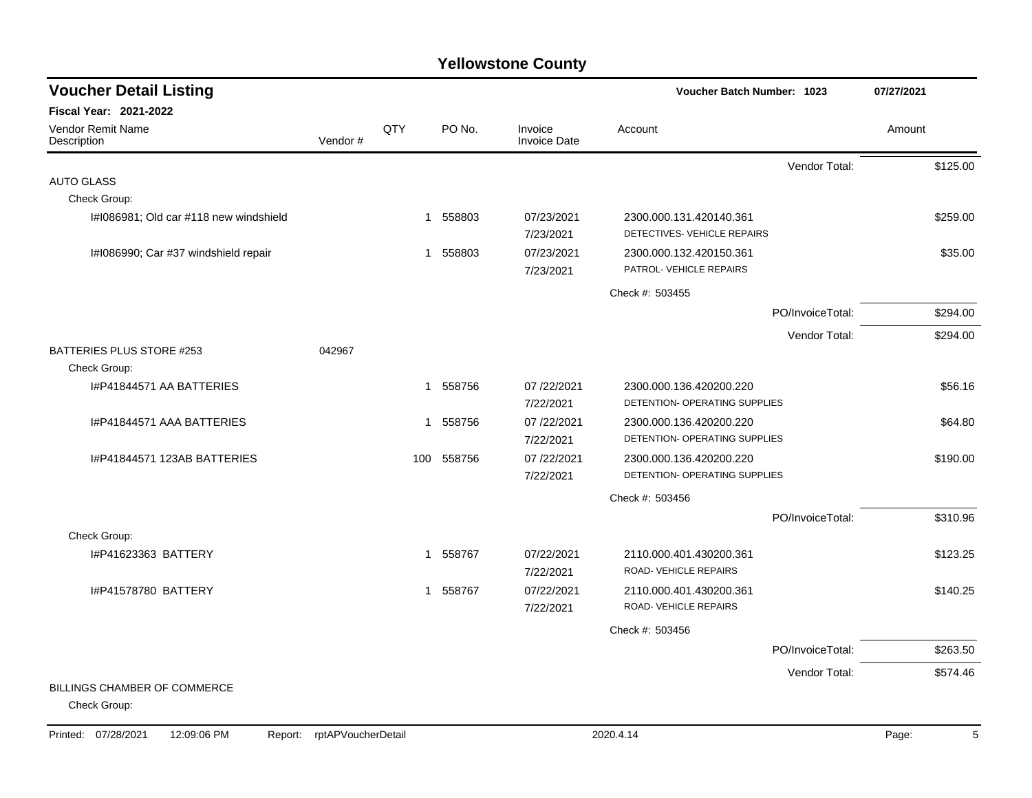| <b>Voucher Detail Listing</b>                       |         |              |          |                                | Voucher Batch Number: 1023                               |                  | 07/27/2021 |
|-----------------------------------------------------|---------|--------------|----------|--------------------------------|----------------------------------------------------------|------------------|------------|
| <b>Fiscal Year: 2021-2022</b>                       |         |              |          |                                |                                                          |                  |            |
| Vendor Remit Name<br>Description                    | Vendor# | QTY          | PO No.   | Invoice<br><b>Invoice Date</b> | Account                                                  |                  | Amount     |
|                                                     |         |              |          |                                |                                                          | Vendor Total:    | \$125.00   |
| <b>AUTO GLASS</b>                                   |         |              |          |                                |                                                          |                  |            |
| Check Group:                                        |         |              |          |                                |                                                          |                  |            |
| I#I086981; Old car #118 new windshield              |         | -1           | 558803   | 07/23/2021<br>7/23/2021        | 2300.000.131.420140.361<br>DETECTIVES- VEHICLE REPAIRS   |                  | \$259.00   |
| I#I086990; Car #37 windshield repair                |         | $\mathbf{1}$ | 558803   | 07/23/2021<br>7/23/2021        | 2300.000.132.420150.361<br>PATROL- VEHICLE REPAIRS       |                  | \$35.00    |
|                                                     |         |              |          |                                | Check #: 503455                                          |                  |            |
|                                                     |         |              |          |                                |                                                          | PO/InvoiceTotal: | \$294.00   |
|                                                     |         |              |          |                                |                                                          | Vendor Total:    | \$294.00   |
| BATTERIES PLUS STORE #253<br>Check Group:           | 042967  |              |          |                                |                                                          |                  |            |
| I#P41844571 AA BATTERIES                            |         |              | 1 558756 | 07/22/2021<br>7/22/2021        | 2300.000.136.420200.220<br>DETENTION- OPERATING SUPPLIES |                  | \$56.16    |
| I#P41844571 AAA BATTERIES                           |         | 1            | 558756   | 07 /22/2021<br>7/22/2021       | 2300.000.136.420200.220<br>DETENTION- OPERATING SUPPLIES |                  | \$64.80    |
| I#P41844571 123AB BATTERIES                         |         | 100          | 558756   | 07/22/2021<br>7/22/2021        | 2300.000.136.420200.220<br>DETENTION- OPERATING SUPPLIES |                  | \$190.00   |
|                                                     |         |              |          |                                | Check #: 503456                                          |                  |            |
|                                                     |         |              |          |                                |                                                          | PO/InvoiceTotal: | \$310.96   |
| Check Group:                                        |         |              |          |                                |                                                          |                  |            |
| I#P41623363 BATTERY                                 |         |              | 1 558767 | 07/22/2021<br>7/22/2021        | 2110.000.401.430200.361<br>ROAD-VEHICLE REPAIRS          |                  | \$123.25   |
| I#P41578780 BATTERY                                 |         |              | 1 558767 | 07/22/2021<br>7/22/2021        | 2110.000.401.430200.361<br>ROAD-VEHICLE REPAIRS          |                  | \$140.25   |
|                                                     |         |              |          |                                | Check #: 503456                                          |                  |            |
|                                                     |         |              |          |                                |                                                          | PO/InvoiceTotal: | \$263.50   |
|                                                     |         |              |          |                                |                                                          | Vendor Total:    | \$574.46   |
| <b>BILLINGS CHAMBER OF COMMERCE</b><br>Check Group: |         |              |          |                                |                                                          |                  |            |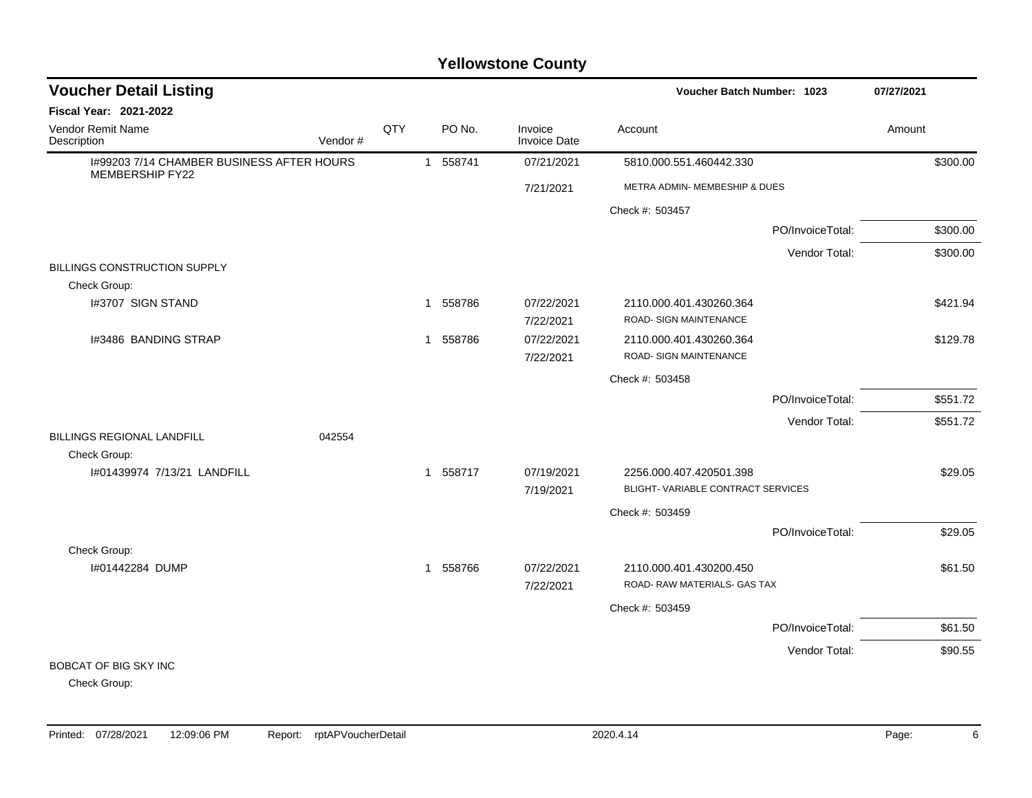#### I#99203 7/14 CHAMBER BUSINESS AFTER HOURS MEMBERSHIP FY22 1 558741 07/21/2021 5810.000.551.460442.330 \$300.00 7/21/2021 METRA ADMIN- MEMBESHIP & DUES Check #: 503457 PO/InvoiceTotal: \$300.00 Vendor Total: \$300.00 BILLINGS CONSTRUCTION SUPPLY Check Group: l#3707 SIGN STAND \$421.94 \$421.94 \$421.94  $1 - 558786$   $07/22/2021$   $2110.000.401.430260.364$  \$421.94 7/22/2021 ROAD- SIGN MAINTENANCE I#3486 BANDING STRAP 1 558786 07/22/2021 2110.000.401.430260.364 \$129.78 7/22/2021 ROAD- SIGN MAINTENANCE Check #: 503458 PO/InvoiceTotal: \$551.72 Vendor Total: \$551.72 BILLINGS REGIONAL LANDFILL 042554 Check Group: I#01439974 7/13/21 LANDFILL 1 558717 07/19/2021 2256.000.407.420501.398 \$29.05 7/19/2021 BLIGHT- VARIABLE CONTRACT SERVICES Check #: 503459 PO/InvoiceTotal: \$29.05 Check Group: I#01442284 DUMP 1 558766 07/22/2021 2110.000.401.430200.450 \$61.50 7/22/2021 ROAD- RAW MATERIALS- GAS TAX Check #: 503459 PO/InvoiceTotal: \$61.50 Vendor Total: \$90.55 BOBCAT OF BIG SKY INC **Voucher Batch Number: Yellowstone County** Vendor Remit Name Description **Voucher Detail Listing Fiscal Year: 2021-2022 1023 07/27/2021** PO No. Invoice Account Amount Amount Amount Amount Vendor # **QTY** Invoice Date

Check Group: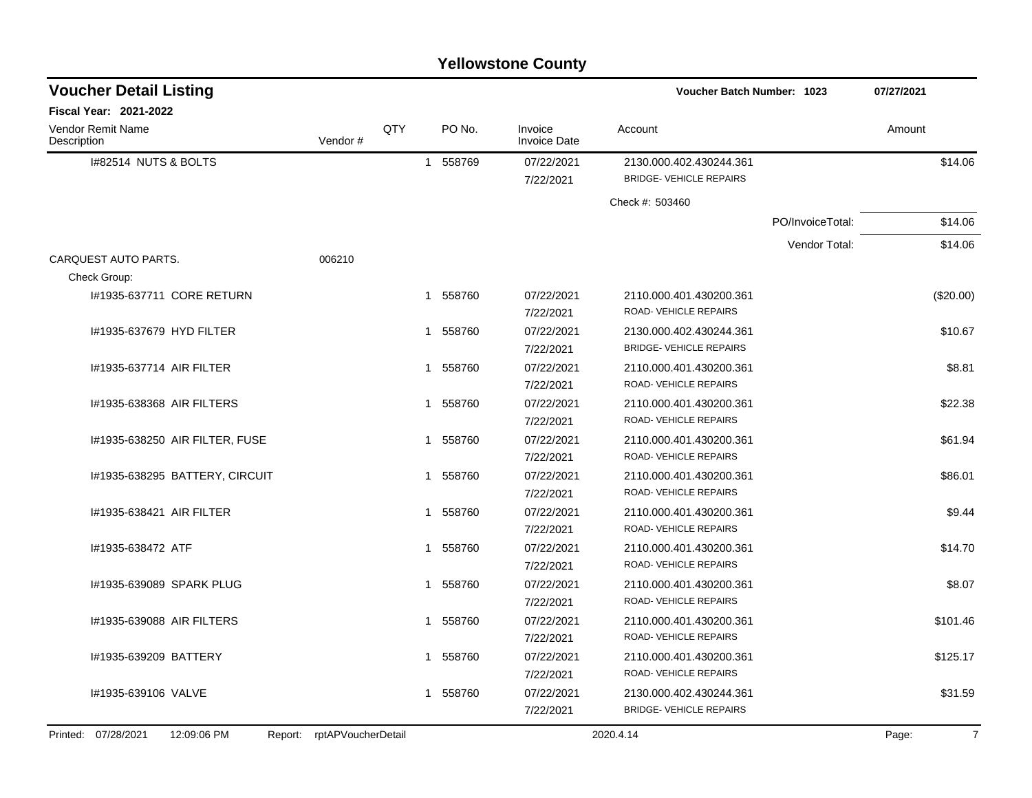|                                         | <b>Yellowstone County</b>      |                            |              |        |                         |                                                           |                  |                          |  |  |  |  |  |
|-----------------------------------------|--------------------------------|----------------------------|--------------|--------|-------------------------|-----------------------------------------------------------|------------------|--------------------------|--|--|--|--|--|
| <b>Voucher Detail Listing</b>           |                                |                            |              |        |                         | <b>Voucher Batch Number: 1023</b>                         |                  | 07/27/2021               |  |  |  |  |  |
| <b>Fiscal Year: 2021-2022</b>           |                                |                            |              |        |                         |                                                           |                  |                          |  |  |  |  |  |
| <b>Vendor Remit Name</b><br>Description |                                | Vendor#                    | QTY          | PO No. | Invoice<br>Invoice Date | Account                                                   |                  | Amount                   |  |  |  |  |  |
| I#82514 NUTS & BOLTS                    |                                |                            | $\mathbf{1}$ | 558769 | 07/22/2021              | 2130.000.402.430244.361                                   |                  | \$14.06                  |  |  |  |  |  |
|                                         |                                |                            |              |        | 7/22/2021               | <b>BRIDGE- VEHICLE REPAIRS</b>                            |                  |                          |  |  |  |  |  |
|                                         |                                |                            |              |        |                         | Check #: 503460                                           |                  |                          |  |  |  |  |  |
|                                         |                                |                            |              |        |                         |                                                           | PO/InvoiceTotal: | \$14.06                  |  |  |  |  |  |
|                                         |                                |                            |              |        |                         |                                                           | Vendor Total:    | \$14.06                  |  |  |  |  |  |
| CARQUEST AUTO PARTS.                    |                                | 006210                     |              |        |                         |                                                           |                  |                          |  |  |  |  |  |
| Check Group:                            |                                |                            |              |        |                         |                                                           |                  |                          |  |  |  |  |  |
|                                         | I#1935-637711 CORE RETURN      |                            | 1            | 558760 | 07/22/2021              | 2110.000.401.430200.361                                   |                  | $(\$20.00)$              |  |  |  |  |  |
|                                         |                                |                            |              |        | 7/22/2021               | ROAD- VEHICLE REPAIRS                                     |                  |                          |  |  |  |  |  |
| #1935-637679 HYD FILTER                 |                                |                            |              | 558760 | 07/22/2021              | 2130.000.402.430244.361                                   |                  | \$10.67                  |  |  |  |  |  |
|                                         |                                |                            |              |        | 7/22/2021               | <b>BRIDGE- VEHICLE REPAIRS</b>                            |                  |                          |  |  |  |  |  |
| I#1935-637714 AIR FILTER                |                                |                            | 1            | 558760 | 07/22/2021              | 2110.000.401.430200.361                                   |                  | \$8.81                   |  |  |  |  |  |
|                                         |                                |                            |              |        | 7/22/2021               | ROAD- VEHICLE REPAIRS                                     |                  |                          |  |  |  |  |  |
| I#1935-638368 AIR FILTERS               |                                |                            | 1            | 558760 | 07/22/2021              | 2110.000.401.430200.361                                   |                  | \$22.38                  |  |  |  |  |  |
|                                         |                                |                            |              |        | 7/22/2021               | ROAD- VEHICLE REPAIRS                                     |                  |                          |  |  |  |  |  |
|                                         | I#1935-638250 AIR FILTER, FUSE |                            |              | 558760 | 07/22/2021              | 2110.000.401.430200.361                                   |                  | \$61.94                  |  |  |  |  |  |
|                                         |                                |                            |              |        | 7/22/2021               | ROAD- VEHICLE REPAIRS                                     |                  |                          |  |  |  |  |  |
|                                         | I#1935-638295 BATTERY, CIRCUIT |                            |              | 558760 | 07/22/2021              | 2110.000.401.430200.361                                   |                  | \$86.01                  |  |  |  |  |  |
|                                         |                                |                            |              |        | 7/22/2021               | ROAD- VEHICLE REPAIRS                                     |                  |                          |  |  |  |  |  |
| I#1935-638421 AIR FILTER                |                                |                            | 1            | 558760 | 07/22/2021              | 2110.000.401.430200.361                                   |                  | \$9.44                   |  |  |  |  |  |
|                                         |                                |                            |              |        | 7/22/2021               | ROAD- VEHICLE REPAIRS                                     |                  |                          |  |  |  |  |  |
| I#1935-638472 ATF                       |                                |                            | 1            | 558760 | 07/22/2021              | 2110.000.401.430200.361                                   |                  | \$14.70                  |  |  |  |  |  |
|                                         |                                |                            |              |        | 7/22/2021               | ROAD- VEHICLE REPAIRS                                     |                  |                          |  |  |  |  |  |
| I#1935-639089 SPARK PLUG                |                                |                            |              | 558760 | 07/22/2021              | 2110.000.401.430200.361                                   |                  | \$8.07                   |  |  |  |  |  |
|                                         |                                |                            |              |        | 7/22/2021               | ROAD-VEHICLE REPAIRS                                      |                  |                          |  |  |  |  |  |
| I#1935-639088 AIR FILTERS               |                                |                            |              | 558760 | 07/22/2021              | 2110.000.401.430200.361                                   |                  | \$101.46                 |  |  |  |  |  |
|                                         |                                |                            |              |        | 7/22/2021               | ROAD-VEHICLE REPAIRS                                      |                  |                          |  |  |  |  |  |
| I#1935-639209 BATTERY                   |                                |                            | 1            | 558760 | 07/22/2021              | 2110.000.401.430200.361<br>ROAD- VEHICLE REPAIRS          |                  | \$125.17                 |  |  |  |  |  |
|                                         |                                |                            |              |        | 7/22/2021               |                                                           |                  |                          |  |  |  |  |  |
| I#1935-639106 VALVE                     |                                |                            | 1            | 558760 | 07/22/2021              | 2130.000.402.430244.361<br><b>BRIDGE- VEHICLE REPAIRS</b> |                  | \$31.59                  |  |  |  |  |  |
|                                         |                                |                            |              |        | 7/22/2021               |                                                           |                  |                          |  |  |  |  |  |
| Printed: 07/28/2021                     | 12:09:06 PM                    | Report: rptAPVoucherDetail |              |        |                         | 2020.4.14                                                 |                  | $7\overline{ }$<br>Page: |  |  |  |  |  |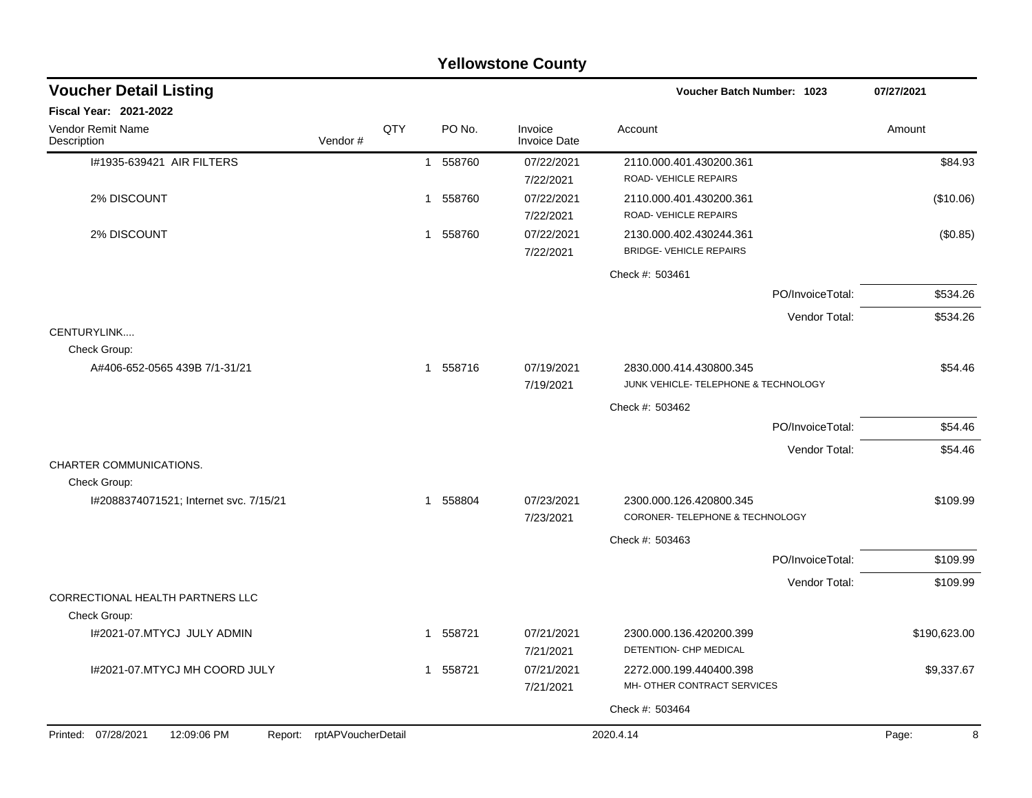|                                                |                            |     |                        | <b>Yellowstone County</b>      |                                                                 |              |
|------------------------------------------------|----------------------------|-----|------------------------|--------------------------------|-----------------------------------------------------------------|--------------|
| <b>Voucher Detail Listing</b>                  |                            |     |                        |                                | Voucher Batch Number: 1023                                      | 07/27/2021   |
| <b>Fiscal Year: 2021-2022</b>                  |                            |     |                        |                                |                                                                 |              |
| Vendor Remit Name<br>Description               | Vendor#                    | QTY | PO No.                 | Invoice<br><b>Invoice Date</b> | Account                                                         | Amount       |
| I#1935-639421 AIR FILTERS                      |                            |     | 558760<br>$\mathbf{1}$ | 07/22/2021<br>7/22/2021        | 2110.000.401.430200.361<br>ROAD-VEHICLE REPAIRS                 | \$84.93      |
| 2% DISCOUNT                                    |                            |     | 558760<br>1            | 07/22/2021<br>7/22/2021        | 2110.000.401.430200.361<br>ROAD-VEHICLE REPAIRS                 | (\$10.06)    |
| 2% DISCOUNT                                    |                            |     | 558760<br>1            | 07/22/2021<br>7/22/2021        | 2130.000.402.430244.361<br><b>BRIDGE- VEHICLE REPAIRS</b>       | (\$0.85)     |
|                                                |                            |     |                        |                                | Check #: 503461                                                 |              |
|                                                |                            |     |                        |                                | PO/InvoiceTotal:                                                | \$534.26     |
| CENTURYLINK                                    |                            |     |                        |                                | Vendor Total:                                                   | \$534.26     |
| Check Group:                                   |                            |     |                        |                                |                                                                 |              |
| A#406-652-0565 439B 7/1-31/21                  |                            |     | 1 558716               | 07/19/2021<br>7/19/2021        | 2830.000.414.430800.345<br>JUNK VEHICLE- TELEPHONE & TECHNOLOGY | \$54.46      |
|                                                |                            |     |                        |                                | Check #: 503462                                                 |              |
|                                                |                            |     |                        |                                | PO/InvoiceTotal:                                                | \$54.46      |
|                                                |                            |     |                        |                                | Vendor Total:                                                   | \$54.46      |
| <b>CHARTER COMMUNICATIONS.</b><br>Check Group: |                            |     |                        |                                |                                                                 |              |
| I#2088374071521; Internet svc. 7/15/21         |                            |     | 1 558804               | 07/23/2021<br>7/23/2021        | 2300.000.126.420800.345<br>CORONER-TELEPHONE & TECHNOLOGY       | \$109.99     |
|                                                |                            |     |                        |                                | Check #: 503463                                                 |              |
|                                                |                            |     |                        |                                | PO/InvoiceTotal:                                                | \$109.99     |
|                                                |                            |     |                        |                                | Vendor Total:                                                   | \$109.99     |
| CORRECTIONAL HEALTH PARTNERS LLC               |                            |     |                        |                                |                                                                 |              |
| Check Group:                                   |                            |     |                        |                                |                                                                 |              |
| I#2021-07.MTYCJ JULY ADMIN                     |                            |     | 1 558721               | 07/21/2021<br>7/21/2021        | 2300.000.136.420200.399<br>DETENTION- CHP MEDICAL               | \$190,623.00 |
| I#2021-07.MTYCJ MH COORD JULY                  |                            |     | 1 558721               | 07/21/2021<br>7/21/2021        | 2272.000.199.440400.398<br>MH- OTHER CONTRACT SERVICES          | \$9,337.67   |
|                                                |                            |     |                        |                                | Check #: 503464                                                 |              |
| Printed: 07/28/2021<br>12:09:06 PM             | Report: rptAPVoucherDetail |     |                        |                                | 2020.4.14                                                       | Page:<br>8   |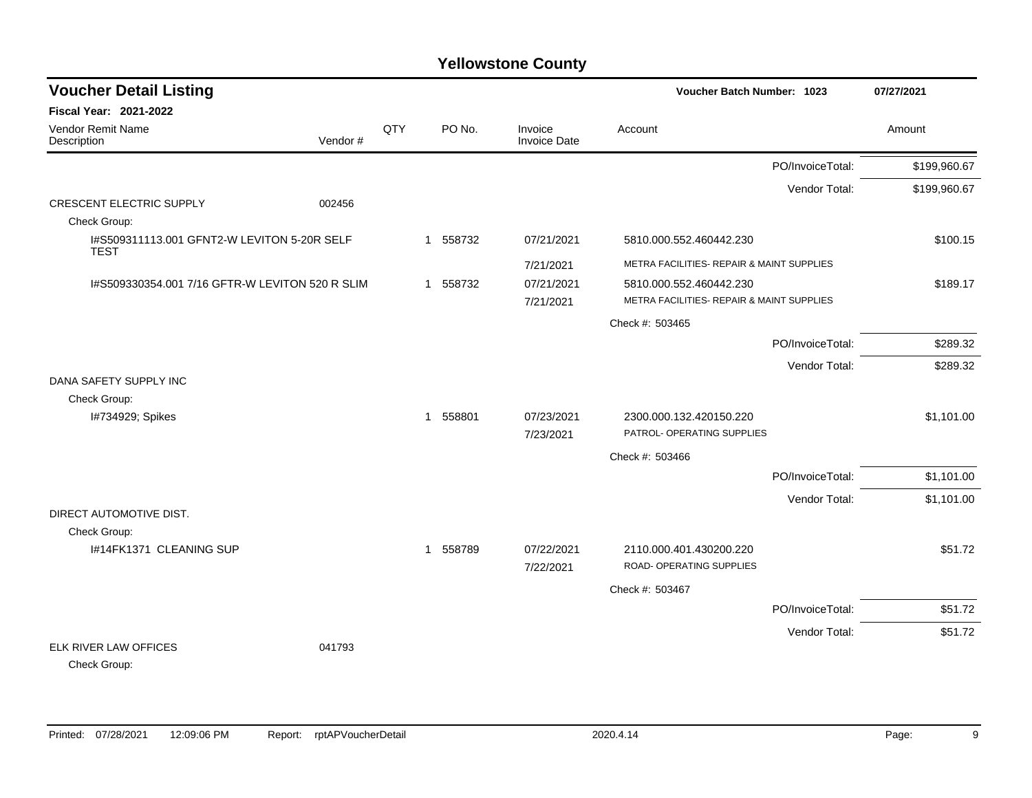| <b>Voucher Detail Listing</b>                              |          |     |                        |                                | Voucher Batch Number: 1023                | 07/27/2021   |
|------------------------------------------------------------|----------|-----|------------------------|--------------------------------|-------------------------------------------|--------------|
| <b>Fiscal Year: 2021-2022</b>                              |          |     |                        |                                |                                           |              |
| Vendor Remit Name<br>Description                           | Vendor # | QTY | PO No.                 | Invoice<br><b>Invoice Date</b> | Account                                   | Amount       |
|                                                            |          |     |                        |                                | PO/InvoiceTotal:                          | \$199,960.67 |
|                                                            |          |     |                        |                                | Vendor Total:                             | \$199,960.67 |
| <b>CRESCENT ELECTRIC SUPPLY</b>                            | 002456   |     |                        |                                |                                           |              |
| Check Group:                                               |          |     |                        |                                |                                           |              |
| 1#S509311113.001 GFNT2-W LEVITON 5-20R SELF<br><b>TEST</b> |          |     | 1 558732               | 07/21/2021                     | 5810.000.552.460442.230                   | \$100.15     |
|                                                            |          |     |                        | 7/21/2021                      | METRA FACILITIES- REPAIR & MAINT SUPPLIES |              |
| 1#S509330354.001 7/16 GFTR-W LEVITON 520 R SLIM            |          |     | 1 558732               | 07/21/2021                     | 5810.000.552.460442.230                   | \$189.17     |
|                                                            |          |     |                        | 7/21/2021                      | METRA FACILITIES- REPAIR & MAINT SUPPLIES |              |
|                                                            |          |     |                        |                                | Check #: 503465                           |              |
|                                                            |          |     |                        |                                | PO/InvoiceTotal:                          | \$289.32     |
|                                                            |          |     |                        |                                | Vendor Total:                             | \$289.32     |
| DANA SAFETY SUPPLY INC                                     |          |     |                        |                                |                                           |              |
| Check Group:                                               |          |     |                        |                                |                                           |              |
| I#734929; Spikes                                           |          |     | 558801<br>$\mathbf{1}$ | 07/23/2021                     | 2300.000.132.420150.220                   | \$1,101.00   |
|                                                            |          |     |                        | 7/23/2021                      | PATROL- OPERATING SUPPLIES                |              |
|                                                            |          |     |                        |                                | Check #: 503466                           |              |
|                                                            |          |     |                        |                                | PO/InvoiceTotal:                          | \$1,101.00   |
|                                                            |          |     |                        |                                | Vendor Total:                             | \$1,101.00   |
| DIRECT AUTOMOTIVE DIST.                                    |          |     |                        |                                |                                           |              |
| Check Group:                                               |          |     |                        |                                |                                           |              |
| I#14FK1371 CLEANING SUP                                    |          |     | 1 558789               | 07/22/2021                     | 2110.000.401.430200.220                   | \$51.72      |
|                                                            |          |     |                        | 7/22/2021                      | ROAD- OPERATING SUPPLIES                  |              |
|                                                            |          |     |                        |                                | Check #: 503467                           |              |
|                                                            |          |     |                        |                                | PO/InvoiceTotal:                          | \$51.72      |
|                                                            |          |     |                        |                                | Vendor Total:                             | \$51.72      |
| ELK RIVER LAW OFFICES                                      | 041793   |     |                        |                                |                                           |              |
| Check Group:                                               |          |     |                        |                                |                                           |              |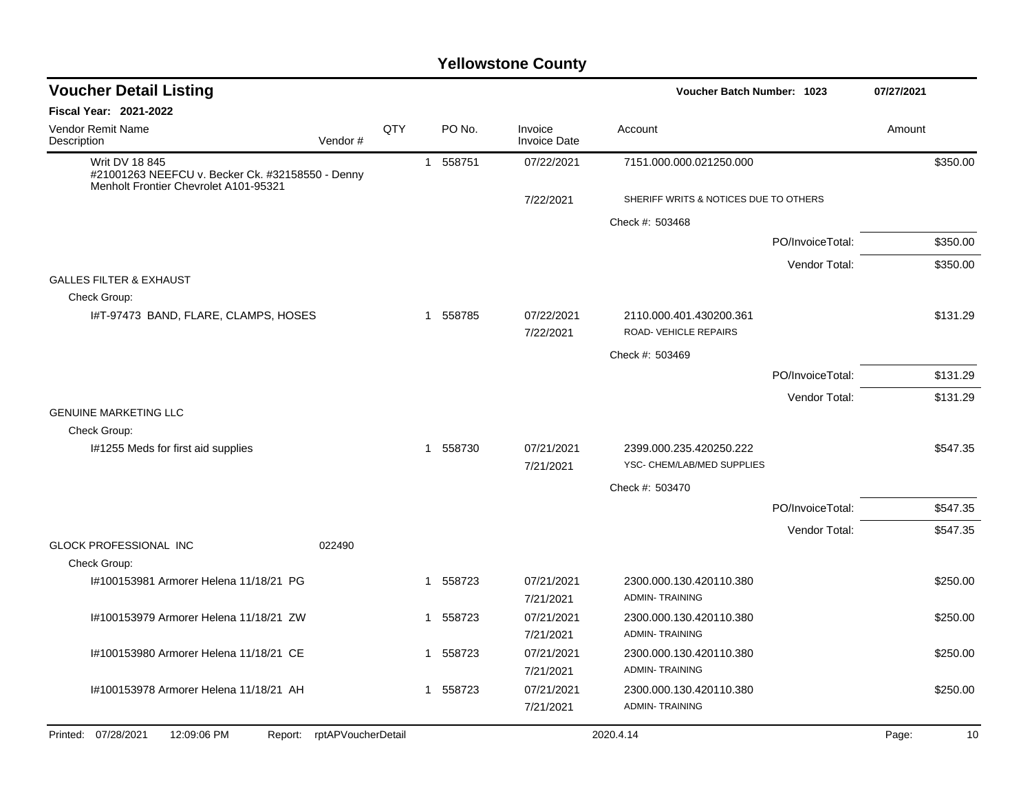| <b>Voucher Detail Listing</b>                                                                               |     |                        |                                | Voucher Batch Number: 1023                       |                  | 07/27/2021 |          |
|-------------------------------------------------------------------------------------------------------------|-----|------------------------|--------------------------------|--------------------------------------------------|------------------|------------|----------|
| Fiscal Year: 2021-2022                                                                                      |     |                        |                                |                                                  |                  |            |          |
| Vendor Remit Name<br>Description<br>Vendor#                                                                 | QTY | PO No.                 | Invoice<br><b>Invoice Date</b> | Account                                          |                  | Amount     |          |
| Writ DV 18 845<br>#21001263 NEEFCU v. Becker Ck. #32158550 - Denny<br>Menholt Frontier Chevrolet A101-95321 |     | 1 558751               | 07/22/2021                     | 7151.000.000.021250.000                          |                  |            | \$350.00 |
|                                                                                                             |     |                        | 7/22/2021                      | SHERIFF WRITS & NOTICES DUE TO OTHERS            |                  |            |          |
|                                                                                                             |     |                        |                                | Check #: 503468                                  |                  |            |          |
|                                                                                                             |     |                        |                                |                                                  | PO/InvoiceTotal: |            | \$350.00 |
|                                                                                                             |     |                        |                                |                                                  | Vendor Total:    |            | \$350.00 |
| <b>GALLES FILTER &amp; EXHAUST</b>                                                                          |     |                        |                                |                                                  |                  |            |          |
| Check Group:                                                                                                |     |                        |                                |                                                  |                  |            |          |
| I#T-97473 BAND, FLARE, CLAMPS, HOSES                                                                        |     | 558785<br>$\mathbf{1}$ | 07/22/2021<br>7/22/2021        | 2110.000.401.430200.361<br>ROAD-VEHICLE REPAIRS  |                  |            | \$131.29 |
|                                                                                                             |     |                        |                                | Check #: 503469                                  |                  |            |          |
|                                                                                                             |     |                        |                                |                                                  | PO/InvoiceTotal: |            | \$131.29 |
|                                                                                                             |     |                        |                                |                                                  | Vendor Total:    |            | \$131.29 |
| <b>GENUINE MARKETING LLC</b>                                                                                |     |                        |                                |                                                  |                  |            |          |
| Check Group:<br>I#1255 Meds for first aid supplies                                                          |     | 1 558730               | 07/21/2021                     | 2399.000.235.420250.222                          |                  |            | \$547.35 |
|                                                                                                             |     |                        | 7/21/2021                      | YSC- CHEM/LAB/MED SUPPLIES                       |                  |            |          |
|                                                                                                             |     |                        |                                | Check #: 503470                                  |                  |            |          |
|                                                                                                             |     |                        |                                |                                                  | PO/InvoiceTotal: |            | \$547.35 |
|                                                                                                             |     |                        |                                |                                                  | Vendor Total:    |            | \$547.35 |
| <b>GLOCK PROFESSIONAL INC</b><br>022490                                                                     |     |                        |                                |                                                  |                  |            |          |
| Check Group:                                                                                                |     |                        |                                |                                                  |                  |            |          |
| 1#100153981 Armorer Helena 11/18/21 PG                                                                      |     | 1 558723               | 07/21/2021<br>7/21/2021        | 2300.000.130.420110.380<br><b>ADMIN-TRAINING</b> |                  |            | \$250.00 |
| I#100153979 Armorer Helena 11/18/21 ZW                                                                      |     | 558723<br>$\mathbf{1}$ | 07/21/2021                     | 2300.000.130.420110.380                          |                  |            | \$250.00 |
|                                                                                                             |     |                        | 7/21/2021                      | <b>ADMIN-TRAINING</b>                            |                  |            |          |
| 1#100153980 Armorer Helena 11/18/21 CE                                                                      |     | 558723<br>1            | 07/21/2021                     | 2300.000.130.420110.380                          |                  |            | \$250.00 |
|                                                                                                             |     |                        | 7/21/2021                      | <b>ADMIN-TRAINING</b>                            |                  |            |          |
| I#100153978 Armorer Helena 11/18/21 AH                                                                      |     | 1 558723               | 07/21/2021<br>7/21/2021        | 2300.000.130.420110.380<br><b>ADMIN-TRAINING</b> |                  |            | \$250.00 |
| Printed: 07/28/2021<br>12:09:06 PM<br>rptAPVoucherDetail<br>Report:                                         |     |                        |                                | 2020.4.14                                        |                  | Page:      | 10       |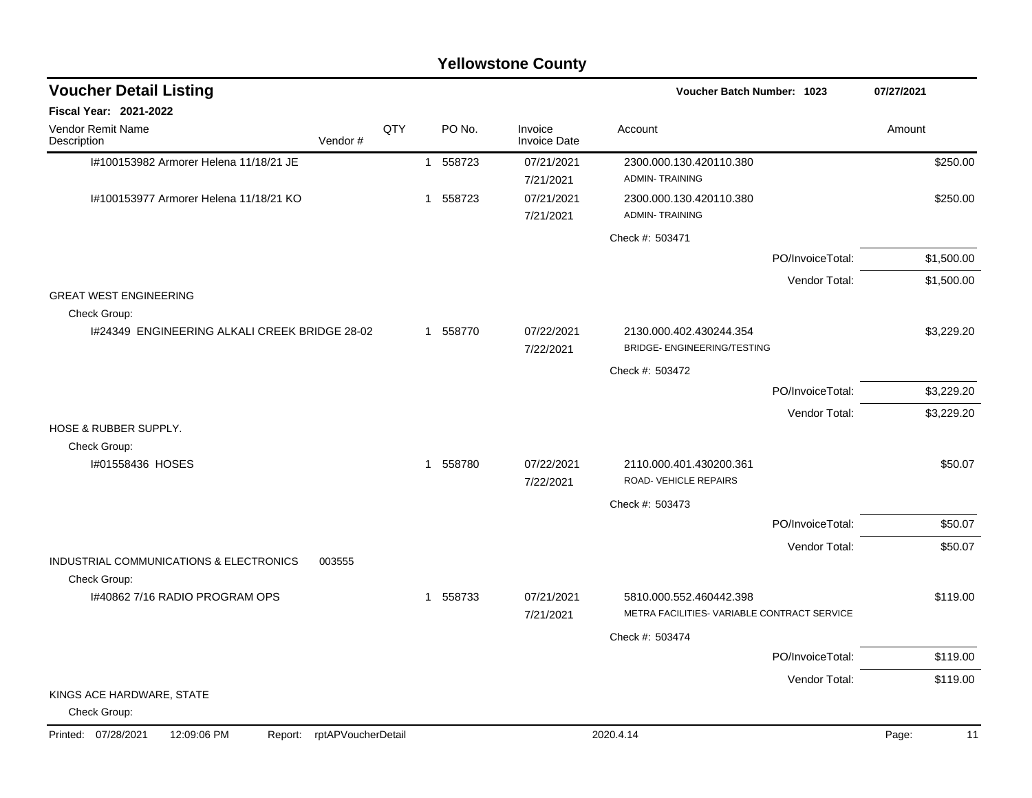|                                                                  |         |     |                        | <b>Yellowstone County</b>      |                                                                        |                  |             |
|------------------------------------------------------------------|---------|-----|------------------------|--------------------------------|------------------------------------------------------------------------|------------------|-------------|
| <b>Voucher Detail Listing</b>                                    |         |     |                        |                                | <b>Voucher Batch Number: 1023</b>                                      |                  | 07/27/2021  |
| <b>Fiscal Year: 2021-2022</b>                                    |         |     |                        |                                |                                                                        |                  |             |
| Vendor Remit Name<br>Description                                 | Vendor# | QTY | PO No.                 | Invoice<br><b>Invoice Date</b> | Account                                                                |                  | Amount      |
| I#100153982 Armorer Helena 11/18/21 JE                           |         |     | 1 558723               | 07/21/2021<br>7/21/2021        | 2300.000.130.420110.380<br><b>ADMIN-TRAINING</b>                       |                  | \$250.00    |
| #100153977 Armorer Helena 11/18/21 KO                            |         |     | 558723<br>1            | 07/21/2021<br>7/21/2021        | 2300.000.130.420110.380<br><b>ADMIN-TRAINING</b>                       |                  | \$250.00    |
|                                                                  |         |     |                        |                                | Check #: 503471                                                        |                  |             |
|                                                                  |         |     |                        |                                |                                                                        | PO/InvoiceTotal: | \$1,500.00  |
|                                                                  |         |     |                        |                                |                                                                        | Vendor Total:    | \$1,500.00  |
| <b>GREAT WEST ENGINEERING</b>                                    |         |     |                        |                                |                                                                        |                  |             |
| Check Group:<br>1#24349 ENGINEERING ALKALI CREEK BRIDGE 28-02    |         |     | 1 558770               | 07/22/2021                     | 2130.000.402.430244.354                                                |                  | \$3,229.20  |
|                                                                  |         |     |                        | 7/22/2021                      | BRIDGE-ENGINEERING/TESTING                                             |                  |             |
|                                                                  |         |     |                        |                                | Check #: 503472                                                        |                  |             |
|                                                                  |         |     |                        |                                |                                                                        | PO/InvoiceTotal: | \$3,229.20  |
|                                                                  |         |     |                        |                                |                                                                        | Vendor Total:    | \$3,229.20  |
| HOSE & RUBBER SUPPLY.<br>Check Group:                            |         |     |                        |                                |                                                                        |                  |             |
| #01558436 HOSES                                                  |         |     | 558780<br>$\mathbf{1}$ | 07/22/2021<br>7/22/2021        | 2110.000.401.430200.361<br>ROAD-VEHICLE REPAIRS                        |                  | \$50.07     |
|                                                                  |         |     |                        |                                | Check #: 503473                                                        |                  |             |
|                                                                  |         |     |                        |                                |                                                                        | PO/InvoiceTotal: | \$50.07     |
|                                                                  |         |     |                        |                                |                                                                        | Vendor Total:    | \$50.07     |
| INDUSTRIAL COMMUNICATIONS & ELECTRONICS<br>Check Group:          | 003555  |     |                        |                                |                                                                        |                  |             |
| 1#40862 7/16 RADIO PROGRAM OPS                                   |         |     | 558733<br>$\mathbf{1}$ | 07/21/2021<br>7/21/2021        | 5810.000.552.460442.398<br>METRA FACILITIES- VARIABLE CONTRACT SERVICE |                  | \$119.00    |
|                                                                  |         |     |                        |                                | Check #: 503474                                                        |                  |             |
|                                                                  |         |     |                        |                                |                                                                        | PO/InvoiceTotal: | \$119.00    |
|                                                                  |         |     |                        |                                |                                                                        | Vendor Total:    | \$119.00    |
| KINGS ACE HARDWARE, STATE<br>Check Group:                        |         |     |                        |                                |                                                                        |                  |             |
| Printed: 07/28/2021<br>12:09:06 PM<br>Report: rptAPVoucherDetail |         |     |                        |                                | 2020.4.14                                                              |                  | Page:<br>11 |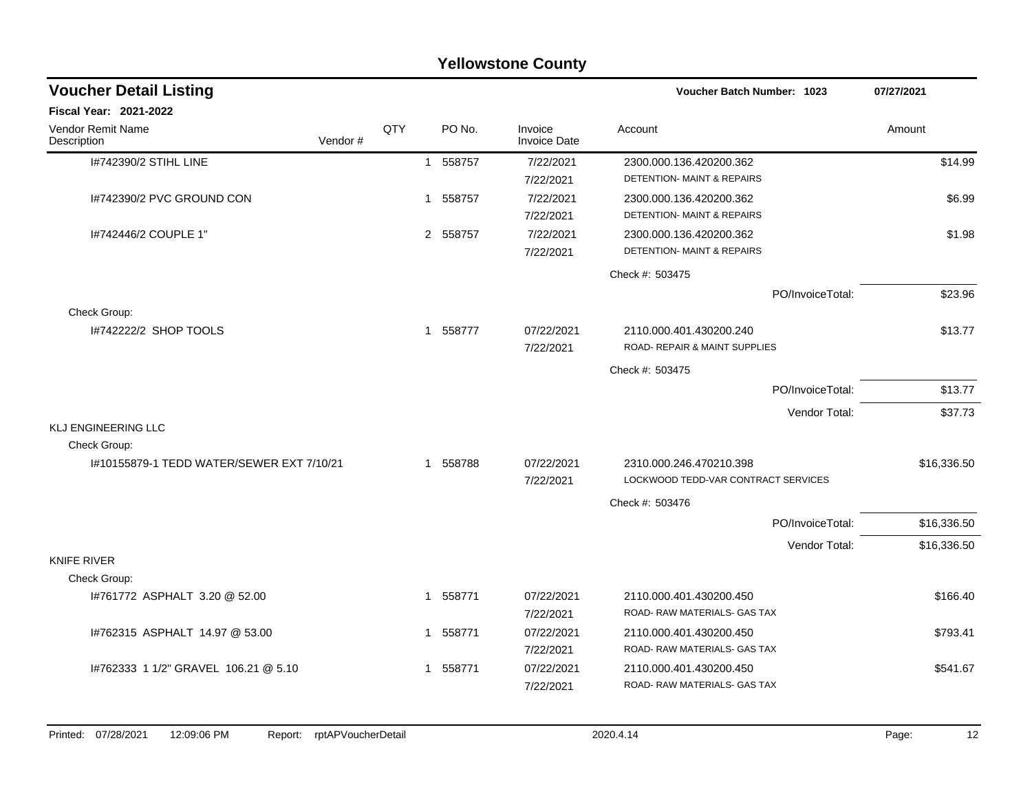| <b>Yellowstone County</b>                  |         |     |  |          |                                |                                                                  |             |  |  |  |  |  |
|--------------------------------------------|---------|-----|--|----------|--------------------------------|------------------------------------------------------------------|-------------|--|--|--|--|--|
| <b>Voucher Detail Listing</b>              |         |     |  |          |                                | Voucher Batch Number: 1023                                       | 07/27/2021  |  |  |  |  |  |
| <b>Fiscal Year: 2021-2022</b>              |         |     |  |          |                                |                                                                  |             |  |  |  |  |  |
| Vendor Remit Name<br>Description           | Vendor# | QTY |  | PO No.   | Invoice<br><b>Invoice Date</b> | Account                                                          | Amount      |  |  |  |  |  |
| 1#742390/2 STIHL LINE                      |         |     |  | 1 558757 | 7/22/2021<br>7/22/2021         | 2300.000.136.420200.362<br><b>DETENTION- MAINT &amp; REPAIRS</b> | \$14.99     |  |  |  |  |  |
| I#742390/2 PVC GROUND CON                  |         |     |  | 1 558757 | 7/22/2021<br>7/22/2021         | 2300.000.136.420200.362<br>DETENTION- MAINT & REPAIRS            | \$6.99      |  |  |  |  |  |
| 1#742446/2 COUPLE 1"                       |         |     |  | 2 558757 | 7/22/2021<br>7/22/2021         | 2300.000.136.420200.362<br><b>DETENTION- MAINT &amp; REPAIRS</b> | \$1.98      |  |  |  |  |  |
|                                            |         |     |  |          |                                | Check #: 503475                                                  |             |  |  |  |  |  |
|                                            |         |     |  |          |                                | PO/InvoiceTotal:                                                 | \$23.96     |  |  |  |  |  |
| Check Group:<br>I#742222/2 SHOP TOOLS      |         |     |  | 1 558777 | 07/22/2021<br>7/22/2021        | 2110.000.401.430200.240<br>ROAD- REPAIR & MAINT SUPPLIES         | \$13.77     |  |  |  |  |  |
|                                            |         |     |  |          |                                | Check #: 503475                                                  |             |  |  |  |  |  |
|                                            |         |     |  |          |                                | PO/InvoiceTotal:                                                 | \$13.77     |  |  |  |  |  |
|                                            |         |     |  |          |                                | Vendor Total:                                                    | \$37.73     |  |  |  |  |  |
| <b>KLJ ENGINEERING LLC</b><br>Check Group: |         |     |  |          |                                |                                                                  |             |  |  |  |  |  |
| I#10155879-1 TEDD WATER/SEWER EXT 7/10/21  |         |     |  | 1 558788 | 07/22/2021<br>7/22/2021        | 2310.000.246.470210.398<br>LOCKWOOD TEDD-VAR CONTRACT SERVICES   | \$16,336.50 |  |  |  |  |  |
|                                            |         |     |  |          |                                | Check #: 503476                                                  |             |  |  |  |  |  |
|                                            |         |     |  |          |                                | PO/InvoiceTotal:                                                 | \$16,336.50 |  |  |  |  |  |
|                                            |         |     |  |          |                                | Vendor Total:                                                    | \$16,336.50 |  |  |  |  |  |
| <b>KNIFE RIVER</b><br>Check Group:         |         |     |  |          |                                |                                                                  |             |  |  |  |  |  |
| I#761772 ASPHALT 3.20 @ 52.00              |         |     |  | 1 558771 | 07/22/2021<br>7/22/2021        | 2110.000.401.430200.450<br>ROAD-RAW MATERIALS-GAS TAX            | \$166.40    |  |  |  |  |  |
| I#762315 ASPHALT 14.97 @ 53.00             |         |     |  | 1 558771 | 07/22/2021<br>7/22/2021        | 2110.000.401.430200.450<br>ROAD- RAW MATERIALS- GAS TAX          | \$793.41    |  |  |  |  |  |
| 1#762333 1 1/2" GRAVEL 106.21 @ 5.10       |         |     |  | 1 558771 | 07/22/2021<br>7/22/2021        | 2110.000.401.430200.450<br>ROAD-RAW MATERIALS- GAS TAX           | \$541.67    |  |  |  |  |  |
|                                            |         |     |  |          |                                |                                                                  |             |  |  |  |  |  |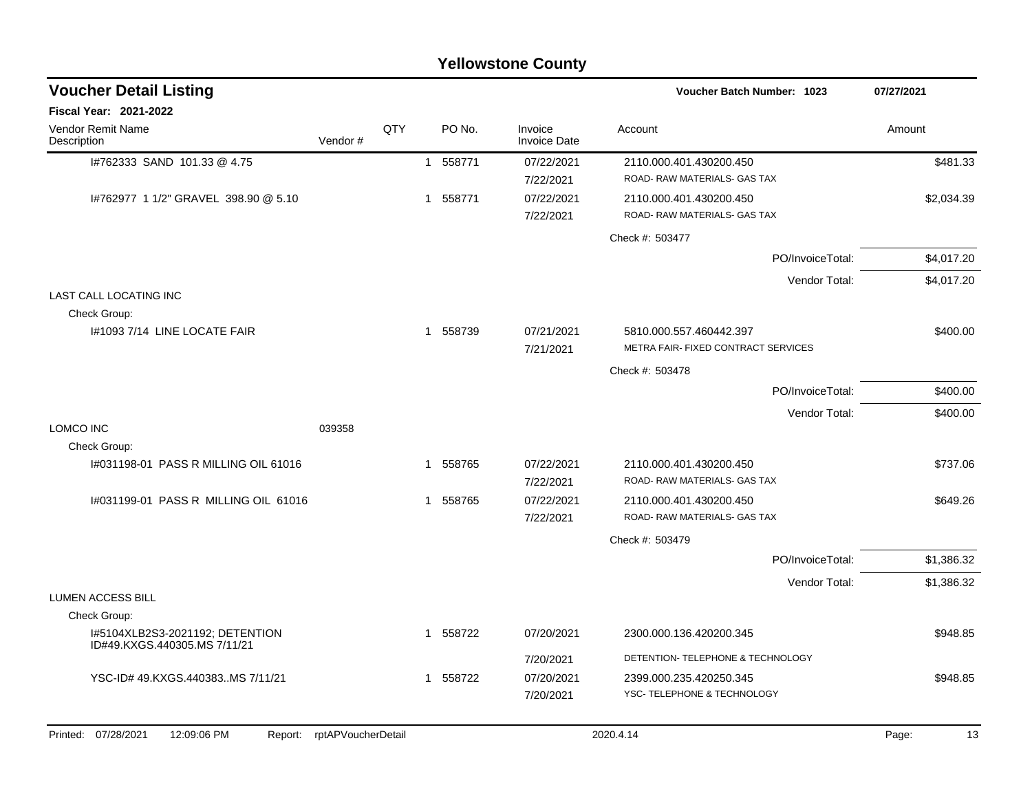| <b>Yellowstone County</b>                                       |                            |     |             |         |                         |                                                         |                  |            |            |  |  |
|-----------------------------------------------------------------|----------------------------|-----|-------------|---------|-------------------------|---------------------------------------------------------|------------------|------------|------------|--|--|
| <b>Voucher Detail Listing</b>                                   |                            |     |             |         |                         | Voucher Batch Number: 1023                              |                  | 07/27/2021 |            |  |  |
| Fiscal Year: 2021-2022                                          |                            |     |             |         |                         |                                                         |                  |            |            |  |  |
| Vendor Remit Name<br>Description                                | Vendor#                    | QTY | PO No.      | Invoice | <b>Invoice Date</b>     | Account                                                 |                  | Amount     |            |  |  |
| I#762333 SAND 101.33 @ 4.75                                     |                            |     | 1 558771    |         | 07/22/2021<br>7/22/2021 | 2110.000.401.430200.450<br>ROAD-RAW MATERIALS-GAS TAX   |                  |            | \$481.33   |  |  |
| I#762977 1 1/2" GRAVEL 398.90 @ 5.10                            |                            |     | 558771<br>1 |         | 07/22/2021<br>7/22/2021 | 2110.000.401.430200.450<br>ROAD- RAW MATERIALS- GAS TAX |                  |            | \$2,034.39 |  |  |
|                                                                 |                            |     |             |         |                         | Check #: 503477                                         |                  |            |            |  |  |
|                                                                 |                            |     |             |         |                         |                                                         | PO/InvoiceTotal: |            | \$4,017.20 |  |  |
|                                                                 |                            |     |             |         |                         |                                                         | Vendor Total:    |            | \$4,017.20 |  |  |
| LAST CALL LOCATING INC<br>Check Group:                          |                            |     |             |         |                         |                                                         |                  |            |            |  |  |
| 1#1093 7/14 LINE LOCATE FAIR                                    |                            |     | 1 558739    |         | 07/21/2021              | 5810.000.557.460442.397                                 |                  |            | \$400.00   |  |  |
|                                                                 |                            |     |             |         | 7/21/2021               | METRA FAIR- FIXED CONTRACT SERVICES                     |                  |            |            |  |  |
|                                                                 |                            |     |             |         |                         | Check #: 503478                                         |                  |            |            |  |  |
|                                                                 |                            |     |             |         |                         |                                                         | PO/InvoiceTotal: |            | \$400.00   |  |  |
| LOMCO INC                                                       | 039358                     |     |             |         |                         |                                                         | Vendor Total:    |            | \$400.00   |  |  |
| Check Group:                                                    |                            |     |             |         |                         |                                                         |                  |            |            |  |  |
| I#031198-01 PASS R MILLING OIL 61016                            |                            |     | 558765<br>1 |         | 07/22/2021<br>7/22/2021 | 2110.000.401.430200.450<br>ROAD-RAW MATERIALS- GAS TAX  |                  |            | \$737.06   |  |  |
| I#031199-01 PASS R MILLING OIL 61016                            |                            |     | 558765<br>1 |         | 07/22/2021              | 2110.000.401.430200.450                                 |                  |            | \$649.26   |  |  |
|                                                                 |                            |     |             |         | 7/22/2021               | ROAD-RAW MATERIALS- GAS TAX                             |                  |            |            |  |  |
|                                                                 |                            |     |             |         |                         | Check #: 503479                                         |                  |            |            |  |  |
|                                                                 |                            |     |             |         |                         |                                                         | PO/InvoiceTotal: |            | \$1,386.32 |  |  |
| <b>LUMEN ACCESS BILL</b>                                        |                            |     |             |         |                         |                                                         | Vendor Total:    |            | \$1,386.32 |  |  |
| Check Group:                                                    |                            |     |             |         |                         |                                                         |                  |            |            |  |  |
| I#5104XLB2S3-2021192; DETENTION<br>ID#49.KXGS.440305.MS 7/11/21 |                            |     | 1 558722    |         | 07/20/2021              | 2300.000.136.420200.345                                 |                  |            | \$948.85   |  |  |
|                                                                 |                            |     |             |         | 7/20/2021               | DETENTION- TELEPHONE & TECHNOLOGY                       |                  |            |            |  |  |
| YSC-ID# 49.KXGS.440383MS 7/11/21                                |                            |     | 1 558722    |         | 07/20/2021              | 2399.000.235.420250.345                                 |                  |            | \$948.85   |  |  |
|                                                                 |                            |     |             |         | 7/20/2021               | YSC-TELEPHONE & TECHNOLOGY                              |                  |            |            |  |  |
| Printed: 07/28/2021<br>12:09:06 PM                              | Report: rptAPVoucherDetail |     |             |         |                         | 2020.4.14                                               |                  | Page:      | 13         |  |  |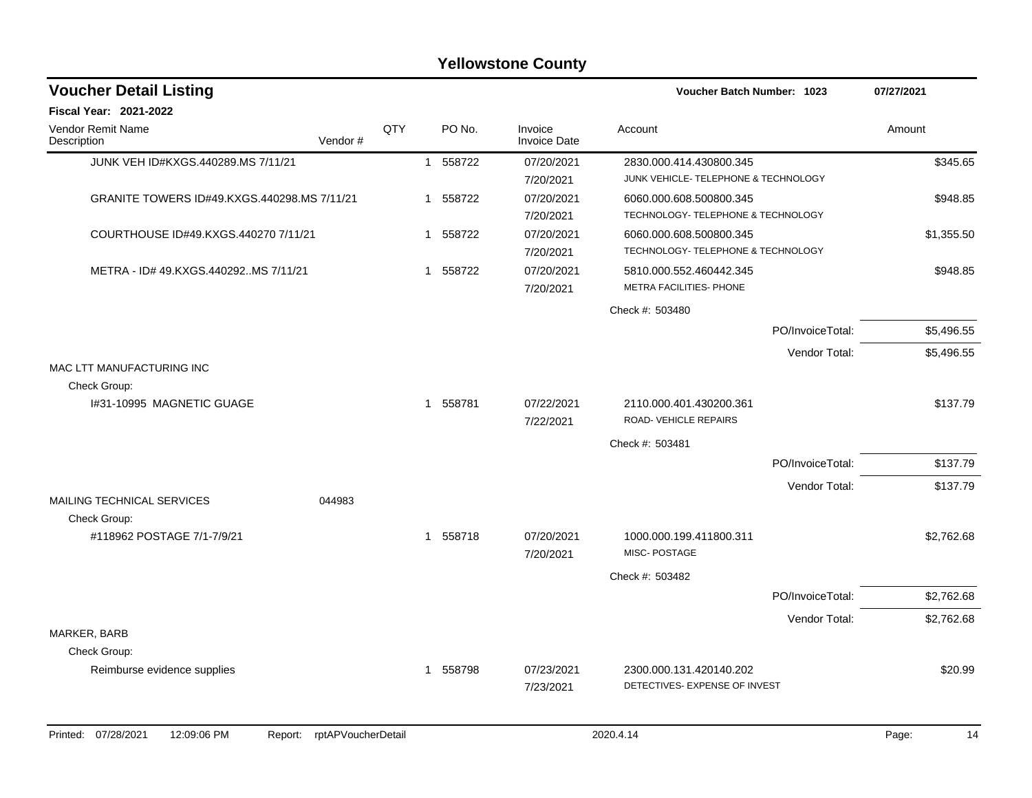#### JUNK VEH ID#KXGS.440289.MS 7/11/21 1 558722 07/20/2021 2830.000.414.430800.345 \$345.65 7/20/2021 JUNK VEHICLE- TELEPHONE & TECHNOLOGY GRANITE TOWERS ID#49.KXGS.440298.MS 7/11/21 1 558722 07/20/2021 6060.000.608.500800.345 7/20/2021 TECHNOLOGY- TELEPHONE & TECHNOLOGY COURTHOUSE ID#49.KXGS.440270 7/11/21 1 558722 07/20/2021 6060.000.608.500800.345 \$1,355.50 7/20/2021 TECHNOLOGY- TELEPHONE & TECHNOLOGY METRA - ID# 49.KXGS.440292..MS 7/11/21 1 558722 07/20/2021 5810.000.552.460442.345 \$948.85 7/20/2021 METRA FACILITIES- PHONE Check #: 503480 PO/InvoiceTotal: \$5,496.55 Vendor Total: \$5,496.55 MAC LTT MANUFACTURING INC Check Group: I#31-10995 MAGNETIC GUAGE 1 558781 07/22/2021 2110.000.401.430200.361 \$137.79 7/22/2021 ROAD- VEHICLE REPAIRS Check #: 503481 PO/InvoiceTotal: \$137.79 Vendor Total: \$137.79 MAILING TECHNICAL SERVICES 044983 Check Group: #118962 POSTAGE 7/1-7/9/21 1 558718 07/20/2021 1000.000.199.411800.311 \$2,762.68 7/20/2021 MISC- POSTAGE Check #: 503482 PO/InvoiceTotal: \$2,762.68 Vendor Total: \$2,762.68 MARKER, BARB Check Group: Reimburse evidence supplies  $$20.99$   $$20.99$ 7/23/2021 DETECTIVES- EXPENSE OF INVEST **Voucher Batch Number: Yellowstone County** Vendor Remit Name **Description Voucher Detail Listing Fiscal Year: 2021-2022 1023 07/27/2021** PO No. Invoice Account Amount Amount Amount Amount Vendor # **QTY** Invoice Date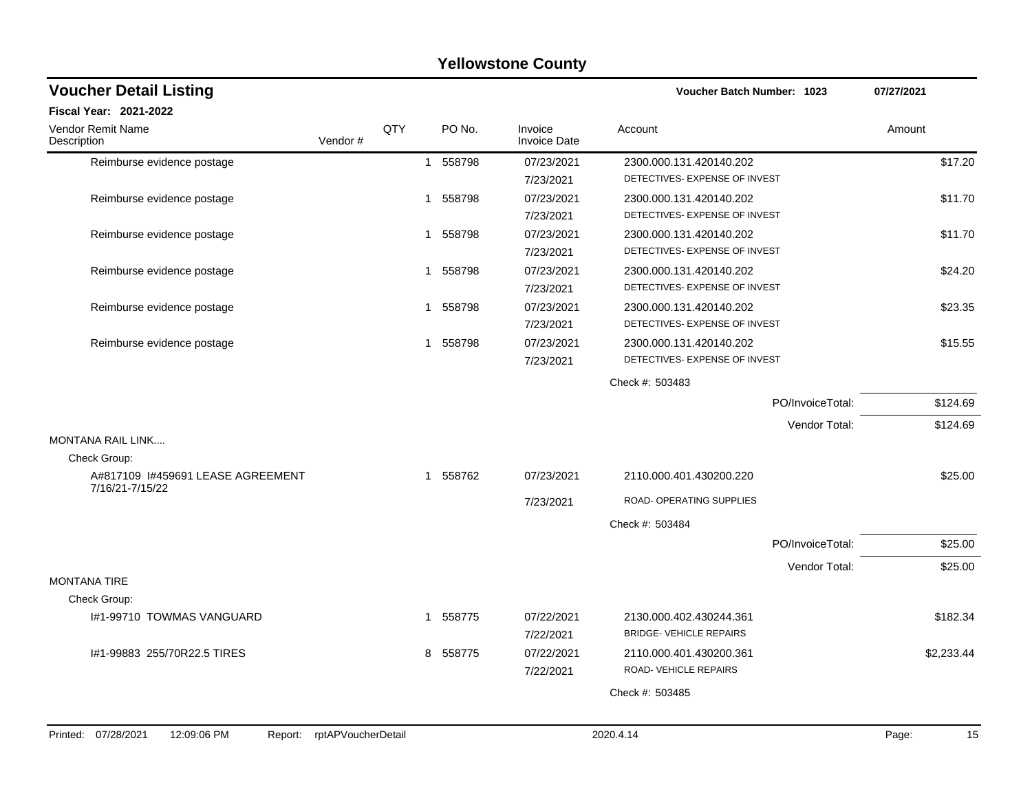| <b>Voucher Detail Listing</b>                        |                    |     |   |          |                                | Voucher Batch Number: 1023                                |                  | 07/27/2021 |            |
|------------------------------------------------------|--------------------|-----|---|----------|--------------------------------|-----------------------------------------------------------|------------------|------------|------------|
| Fiscal Year: 2021-2022                               |                    |     |   |          |                                |                                                           |                  |            |            |
| Vendor Remit Name<br>Description                     | Vendor#            | QTY |   | PO No.   | Invoice<br><b>Invoice Date</b> | Account                                                   |                  | Amount     |            |
| Reimburse evidence postage                           |                    |     |   | 1 558798 | 07/23/2021<br>7/23/2021        | 2300.000.131.420140.202<br>DETECTIVES- EXPENSE OF INVEST  |                  |            | \$17.20    |
| Reimburse evidence postage                           |                    |     | 1 | 558798   | 07/23/2021<br>7/23/2021        | 2300.000.131.420140.202<br>DETECTIVES- EXPENSE OF INVEST  |                  |            | \$11.70    |
| Reimburse evidence postage                           |                    |     | 1 | 558798   | 07/23/2021<br>7/23/2021        | 2300.000.131.420140.202<br>DETECTIVES- EXPENSE OF INVEST  |                  |            | \$11.70    |
| Reimburse evidence postage                           |                    |     | 1 | 558798   | 07/23/2021<br>7/23/2021        | 2300.000.131.420140.202<br>DETECTIVES- EXPENSE OF INVEST  |                  |            | \$24.20    |
| Reimburse evidence postage                           |                    |     | 1 | 558798   | 07/23/2021<br>7/23/2021        | 2300.000.131.420140.202<br>DETECTIVES- EXPENSE OF INVEST  |                  |            | \$23.35    |
| Reimburse evidence postage                           |                    |     | 1 | 558798   | 07/23/2021<br>7/23/2021        | 2300.000.131.420140.202<br>DETECTIVES- EXPENSE OF INVEST  |                  |            | \$15.55    |
|                                                      |                    |     |   |          |                                | Check #: 503483                                           |                  |            |            |
|                                                      |                    |     |   |          |                                |                                                           | PO/InvoiceTotal: |            | \$124.69   |
|                                                      |                    |     |   |          |                                |                                                           | Vendor Total:    |            | \$124.69   |
| <b>MONTANA RAIL LINK</b>                             |                    |     |   |          |                                |                                                           |                  |            |            |
| Check Group:                                         |                    |     |   |          |                                |                                                           |                  |            |            |
| A#817109 I#459691 LEASE AGREEMENT<br>7/16/21-7/15/22 |                    |     | 1 | 558762   | 07/23/2021                     | 2110.000.401.430200.220                                   |                  |            | \$25.00    |
|                                                      |                    |     |   |          | 7/23/2021                      | ROAD- OPERATING SUPPLIES                                  |                  |            |            |
|                                                      |                    |     |   |          |                                | Check #: 503484                                           |                  |            |            |
|                                                      |                    |     |   |          |                                |                                                           | PO/InvoiceTotal: |            | \$25.00    |
| <b>MONTANA TIRE</b>                                  |                    |     |   |          |                                |                                                           | Vendor Total:    |            | \$25.00    |
| Check Group:                                         |                    |     |   |          |                                |                                                           |                  |            |            |
| I#1-99710 TOWMAS VANGUARD                            |                    |     | 1 | 558775   | 07/22/2021<br>7/22/2021        | 2130.000.402.430244.361<br><b>BRIDGE- VEHICLE REPAIRS</b> |                  |            | \$182.34   |
| I#1-99883 255/70R22.5 TIRES                          |                    |     | 8 | 558775   | 07/22/2021<br>7/22/2021        | 2110.000.401.430200.361<br>ROAD-VEHICLE REPAIRS           |                  |            | \$2,233.44 |
|                                                      |                    |     |   |          |                                | Check #: 503485                                           |                  |            |            |
|                                                      |                    |     |   |          |                                |                                                           |                  |            |            |
| Printed: 07/28/2021<br>12:09:06 PM<br>Report:        | rptAPVoucherDetail |     |   |          |                                | 2020.4.14                                                 |                  | Page:      | 15         |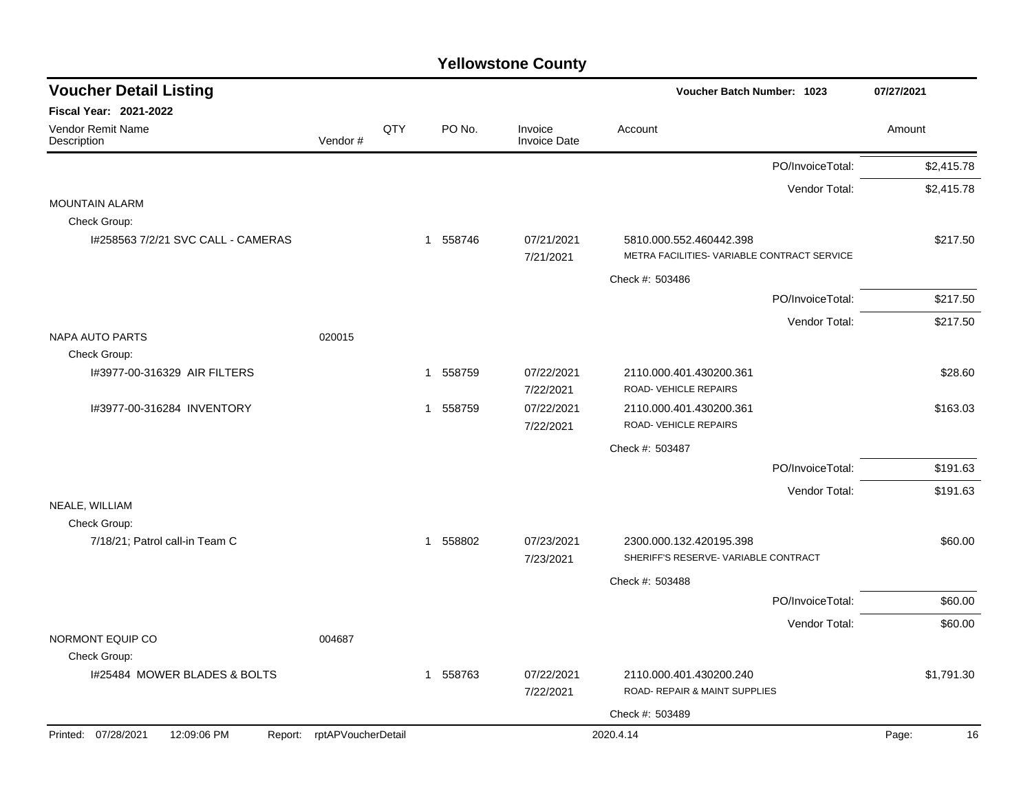| <b>Voucher Detail Listing</b><br>Voucher Batch Number: 1023 |                            |     | 07/27/2021   |        |                                |                                                          |                  |             |
|-------------------------------------------------------------|----------------------------|-----|--------------|--------|--------------------------------|----------------------------------------------------------|------------------|-------------|
| <b>Fiscal Year: 2021-2022</b>                               |                            |     |              |        |                                |                                                          |                  |             |
| <b>Vendor Remit Name</b><br>Description                     | Vendor#                    | QTY |              | PO No. | Invoice<br><b>Invoice Date</b> | Account                                                  |                  | Amount      |
|                                                             |                            |     |              |        |                                |                                                          | PO/InvoiceTotal: | \$2,415.78  |
|                                                             |                            |     |              |        |                                |                                                          | Vendor Total:    | \$2,415.78  |
| <b>MOUNTAIN ALARM</b><br>Check Group:                       |                            |     |              |        |                                |                                                          |                  |             |
| I#258563 7/2/21 SVC CALL - CAMERAS                          |                            |     | $\mathbf{1}$ | 558746 | 07/21/2021                     | 5810.000.552.460442.398                                  |                  | \$217.50    |
|                                                             |                            |     |              |        | 7/21/2021                      | METRA FACILITIES- VARIABLE CONTRACT SERVICE              |                  |             |
|                                                             |                            |     |              |        |                                | Check #: 503486                                          |                  |             |
|                                                             |                            |     |              |        |                                |                                                          | PO/InvoiceTotal: | \$217.50    |
|                                                             |                            |     |              |        |                                |                                                          | Vendor Total:    | \$217.50    |
| <b>NAPA AUTO PARTS</b>                                      | 020015                     |     |              |        |                                |                                                          |                  |             |
| Check Group:                                                |                            |     |              |        |                                |                                                          |                  |             |
| I#3977-00-316329 AIR FILTERS                                |                            |     | $\mathbf{1}$ | 558759 | 07/22/2021<br>7/22/2021        | 2110.000.401.430200.361<br>ROAD-VEHICLE REPAIRS          |                  | \$28.60     |
| I#3977-00-316284 INVENTORY                                  |                            |     | $\mathbf{1}$ | 558759 | 07/22/2021                     | 2110.000.401.430200.361                                  |                  | \$163.03    |
|                                                             |                            |     |              |        | 7/22/2021                      | ROAD- VEHICLE REPAIRS                                    |                  |             |
|                                                             |                            |     |              |        |                                | Check #: 503487                                          |                  |             |
|                                                             |                            |     |              |        |                                |                                                          | PO/InvoiceTotal: | \$191.63    |
|                                                             |                            |     |              |        |                                |                                                          | Vendor Total:    | \$191.63    |
| NEALE, WILLIAM                                              |                            |     |              |        |                                |                                                          |                  |             |
| Check Group:<br>7/18/21; Patrol call-in Team C              |                            |     | 1 558802     |        | 07/23/2021                     | 2300.000.132.420195.398                                  |                  | \$60.00     |
|                                                             |                            |     |              |        | 7/23/2021                      | SHERIFF'S RESERVE- VARIABLE CONTRACT                     |                  |             |
|                                                             |                            |     |              |        |                                | Check #: 503488                                          |                  |             |
|                                                             |                            |     |              |        |                                |                                                          | PO/InvoiceTotal: | \$60.00     |
|                                                             |                            |     |              |        |                                |                                                          | Vendor Total:    | \$60.00     |
| NORMONT EQUIP CO                                            | 004687                     |     |              |        |                                |                                                          |                  |             |
| Check Group:<br>I#25484 MOWER BLADES & BOLTS                |                            |     |              |        | 07/22/2021                     |                                                          |                  |             |
|                                                             |                            |     | 1 558763     |        | 7/22/2021                      | 2110.000.401.430200.240<br>ROAD- REPAIR & MAINT SUPPLIES |                  | \$1,791.30  |
|                                                             |                            |     |              |        |                                | Check #: 503489                                          |                  |             |
| Printed: 07/28/2021<br>12:09:06 PM                          | Report: rptAPVoucherDetail |     |              |        |                                | 2020.4.14                                                |                  | Page:<br>16 |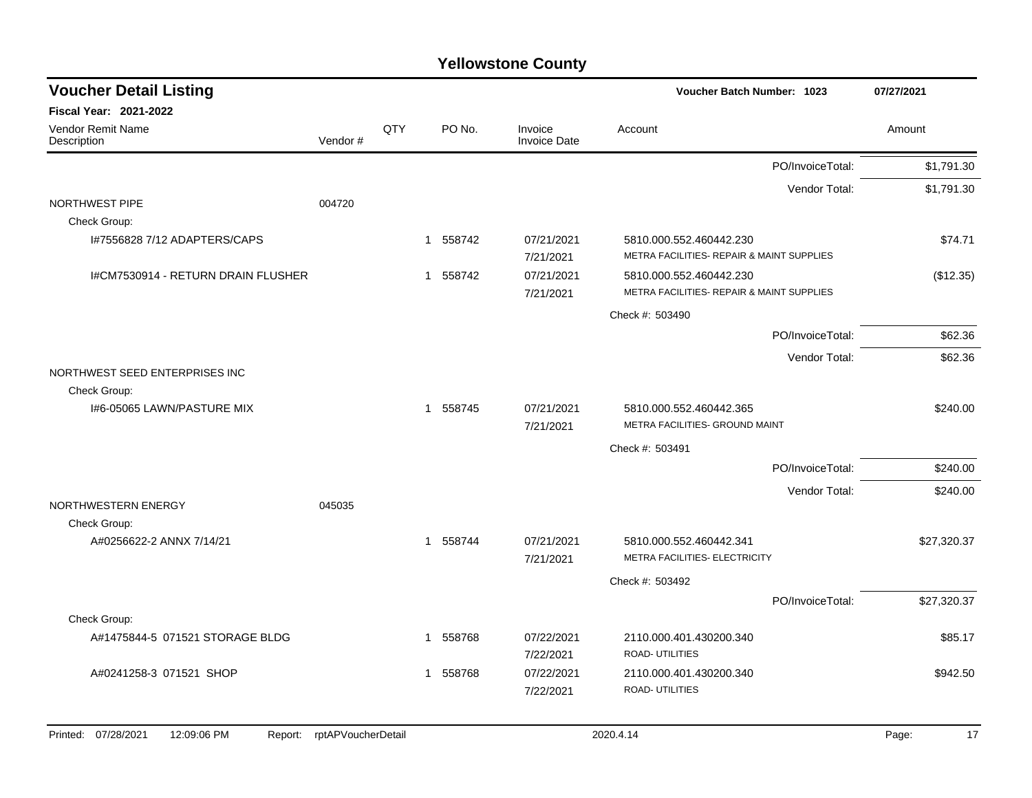| <b>Voucher Detail Listing</b>                 |                    |     |             |                                | <b>Voucher Batch Number: 1023</b>                         |                  | 07/27/2021  |
|-----------------------------------------------|--------------------|-----|-------------|--------------------------------|-----------------------------------------------------------|------------------|-------------|
| <b>Fiscal Year: 2021-2022</b>                 |                    |     |             |                                |                                                           |                  |             |
| <b>Vendor Remit Name</b><br>Description       | Vendor#            | QTY | PO No.      | Invoice<br><b>Invoice Date</b> | Account                                                   |                  | Amount      |
|                                               |                    |     |             |                                |                                                           | PO/InvoiceTotal: | \$1,791.30  |
|                                               |                    |     |             |                                |                                                           | Vendor Total:    | \$1,791.30  |
| NORTHWEST PIPE                                | 004720             |     |             |                                |                                                           |                  |             |
| Check Group:                                  |                    |     |             |                                |                                                           |                  |             |
| I#7556828 7/12 ADAPTERS/CAPS                  |                    |     | 558742<br>1 | 07/21/2021                     | 5810.000.552.460442.230                                   |                  | \$74.71     |
|                                               |                    |     |             | 7/21/2021                      | METRA FACILITIES- REPAIR & MAINT SUPPLIES                 |                  |             |
| I#CM7530914 - RETURN DRAIN FLUSHER            |                    |     | 558742<br>1 | 07/21/2021                     | 5810.000.552.460442.230                                   |                  | (\$12.35)   |
|                                               |                    |     |             | 7/21/2021                      | METRA FACILITIES- REPAIR & MAINT SUPPLIES                 |                  |             |
|                                               |                    |     |             |                                | Check #: 503490                                           |                  |             |
|                                               |                    |     |             |                                |                                                           | PO/InvoiceTotal: | \$62.36     |
|                                               |                    |     |             |                                |                                                           | Vendor Total:    | \$62.36     |
| NORTHWEST SEED ENTERPRISES INC                |                    |     |             |                                |                                                           |                  |             |
| Check Group:                                  |                    |     |             |                                |                                                           |                  |             |
| 1#6-05065 LAWN/PASTURE MIX                    |                    |     | 1 558745    | 07/21/2021<br>7/21/2021        | 5810.000.552.460442.365<br>METRA FACILITIES- GROUND MAINT |                  | \$240.00    |
|                                               |                    |     |             |                                | Check #: 503491                                           |                  |             |
|                                               |                    |     |             |                                |                                                           | PO/InvoiceTotal: | \$240.00    |
|                                               |                    |     |             |                                |                                                           | Vendor Total:    | \$240.00    |
| NORTHWESTERN ENERGY                           | 045035             |     |             |                                |                                                           |                  |             |
| Check Group:                                  |                    |     |             |                                |                                                           |                  |             |
| A#0256622-2 ANNX 7/14/21                      |                    |     | 1 558744    | 07/21/2021                     | 5810.000.552.460442.341                                   |                  | \$27,320.37 |
|                                               |                    |     |             | 7/21/2021                      | METRA FACILITIES- ELECTRICITY                             |                  |             |
|                                               |                    |     |             |                                | Check #: 503492                                           |                  |             |
|                                               |                    |     |             |                                |                                                           | PO/InvoiceTotal: | \$27,320.37 |
| Check Group:                                  |                    |     |             |                                |                                                           |                  |             |
| A#1475844-5 071521 STORAGE BLDG               |                    |     | 558768<br>1 | 07/22/2021                     | 2110.000.401.430200.340                                   |                  | \$85.17     |
|                                               |                    |     |             | 7/22/2021                      | <b>ROAD- UTILITIES</b>                                    |                  |             |
| A#0241258-3 071521 SHOP                       |                    |     | 558768<br>1 | 07/22/2021                     | 2110.000.401.430200.340                                   |                  | \$942.50    |
|                                               |                    |     |             | 7/22/2021                      | ROAD- UTILITIES                                           |                  |             |
|                                               |                    |     |             |                                |                                                           |                  |             |
| Printed: 07/28/2021<br>12:09:06 PM<br>Report: | rptAPVoucherDetail |     |             |                                | 2020.4.14                                                 |                  | 17<br>Page: |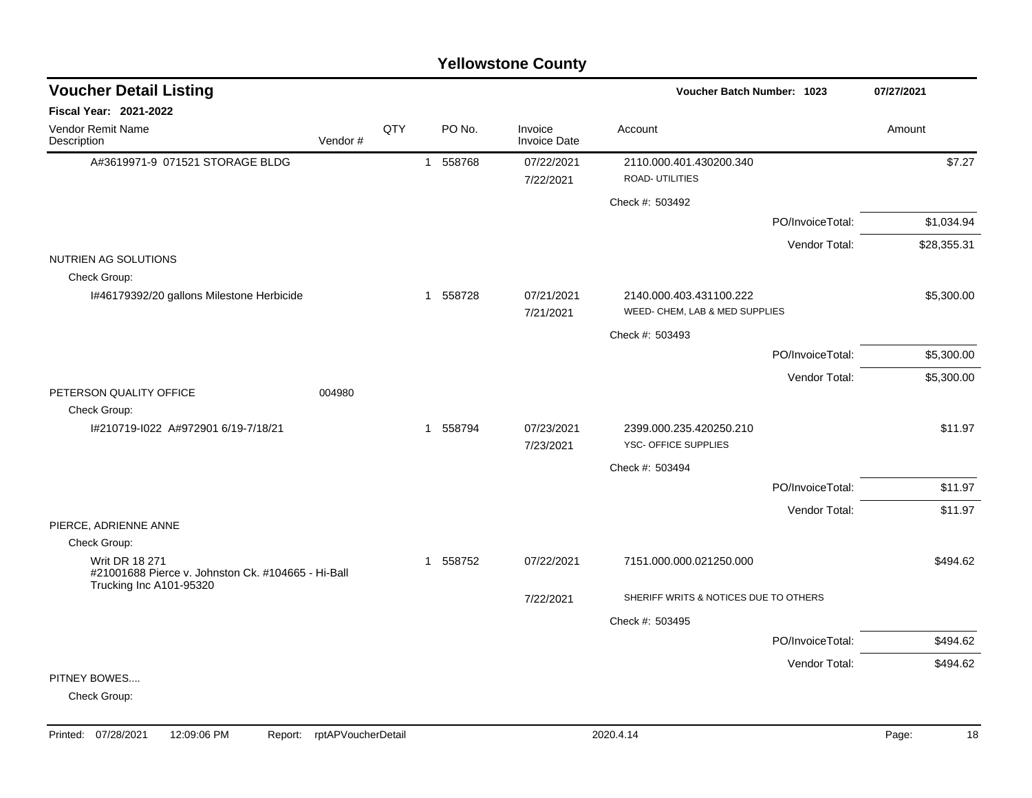#### A#3619971-9 071521 STORAGE BLDG 1 558768 07/22/2021 2110.000.401.430200.340 \$7.27 7/22/2021 ROAD- UTILITIES Check #: 503492 PO/InvoiceTotal: \$1,034.94 Vendor Total: \$28,355.31 NUTRIEN AG SOLUTIONS Check Group: I#46179392/20 gallons Milestone Herbicide 1 558728 07/21/2021 2140.000.403.431100.222 \$5,300.00 7/21/2021 WEED- CHEM, LAB & MED SUPPLIES Check #: 503493 PO/InvoiceTotal: \$5,300.00 Vendor Total: \$5,300.00 PETERSON QUALITY OFFICE 004980 Check Group: I#210719-I022 A#972901 6/19-7/18/21 1 558794 07/23/2021 2399.000.235.420250.210 \$11.97 7/23/2021 YSC- OFFICE SUPPLIES Check #: 503494 PO/InvoiceTotal: \$11.97 Vendor Total: \$11.97 PIERCE, ADRIENNE ANNE Check Group: Writ DR 18 271 #21001688 Pierce v. Johnston Ck. #104665 - Hi-Ball Trucking Inc A101-95320 1 558752 07/22/2021 7151.000.000.021250.000 \$494.62 7/22/2021 SHERIFF WRITS & NOTICES DUE TO OTHERS Check #: 503495 PO/InvoiceTotal: \$494.62 Vendor Total: \$494.62 PITNEY BOWES.... Check Group: **Voucher Batch Number: Yellowstone County** Vendor Remit Name **Description Voucher Detail Listing Fiscal Year: 2021-2022 1023 07/27/2021** PO No. Invoice Account Amount Amount Amount Amount Vendor # **QTY** Invoice Date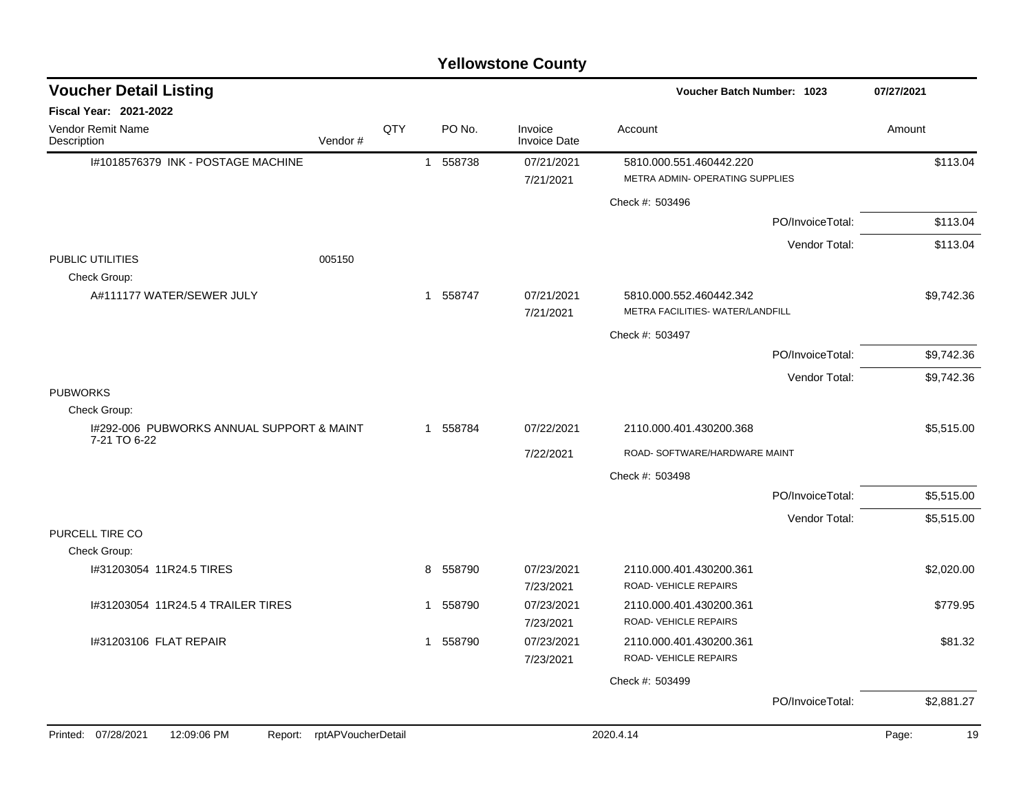#### I#1018576379 INK - POSTAGE MACHINE 1 1 558738 07/21/2021 5810.000.551.460442.220 \$113.04 7/21/2021 METRA ADMIN- OPERATING SUPPLIES Check #: 503496 PO/InvoiceTotal: \$113.04 Vendor Total: \$113.04 PUBLIC UTILITIES 005150 Check Group: A#111177 WATER/SEWER JULY 1 558747 07/21/2021 5810.000.552.460442.342 \$9.742.36 7/21/2021 METRA FACILITIES- WATER/LANDFILL Check #: 503497 PO/InvoiceTotal: \$9,742.36 Vendor Total: \$9,742.36 PUBWORKS Check Group: I#292-006 PUBWORKS ANNUAL SUPPORT & MAINT 7-21 TO 6-22 1 558784 07/22/2021 2110.000.401.430200.368 \$5,515.00 7/22/2021 ROAD- SOFTWARE/HARDWARE MAINT Check #: 503498 PO/InvoiceTotal: \$5,515.00 Vendor Total: \$5,515.00 PURCELL TIRE CO Check Group: l#31203054 11R24.5 TIRES \$2,020.00 8 558790 8 658790 8 7/23/2021 2110.000.401.430200.361 \$2,020.00 7/23/2021 ROAD- VEHICLE REPAIRS 1#31203054 11R24.5 4 TRAILER TIRES 1 1 558790 07/23/2021 2110.000.401.430200.361 \$779.95 7/23/2021 ROAD- VEHICLE REPAIRS 1#31203106 FLAT REPAIR \$81.32 (\$81.32 ) 1 558790 07/23/2021 1 2110.000.401.430200.361 7/23/2021 ROAD- VEHICLE REPAIRS Check #: 503499 PO/InvoiceTotal: \$2,881.27 **Voucher Batch Number: Yellowstone County** Vendor Remit Name **Description Voucher Detail Listing Fiscal Year: 2021-2022 1023 07/27/2021** PO No. Invoice Account Amount Amount Amount Amount Vendor # **QTY** Invoice Date Printed: 07/28/2021 12:09:06 PM Report: rptAPVoucherDetail 2020.4.14 2020.4.14 Page: 19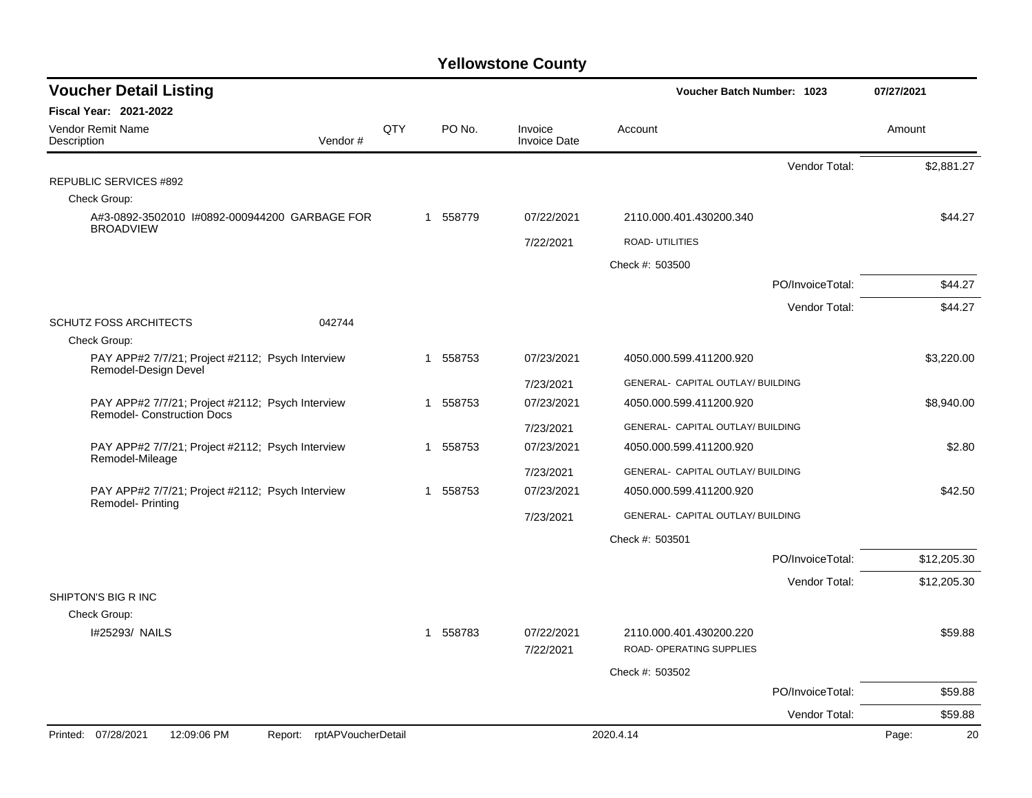| <b>Voucher Detail Listing</b>                                                         |                               |          |            |                                   | <b>Voucher Batch Number: 1023</b> |                  | 07/27/2021  |
|---------------------------------------------------------------------------------------|-------------------------------|----------|------------|-----------------------------------|-----------------------------------|------------------|-------------|
| Fiscal Year: 2021-2022                                                                |                               |          |            |                                   |                                   |                  |             |
| <b>Vendor Remit Name</b><br>Description                                               | Vendor#                       | QTY      | PO No.     | Invoice<br><b>Invoice Date</b>    | Account                           |                  | Amount      |
|                                                                                       |                               |          |            |                                   |                                   | Vendor Total:    | \$2,881.27  |
| <b>REPUBLIC SERVICES #892</b>                                                         |                               |          |            |                                   |                                   |                  |             |
| Check Group:                                                                          |                               |          |            |                                   |                                   |                  |             |
| A#3-0892-3502010 I#0892-000944200 GARBAGE FOR<br><b>BROADVIEW</b>                     |                               | 1 558779 | 07/22/2021 | 2110.000.401.430200.340           |                                   | \$44.27          |             |
|                                                                                       |                               |          |            | 7/22/2021                         | ROAD- UTILITIES                   |                  |             |
|                                                                                       |                               |          |            |                                   | Check #: 503500                   |                  |             |
|                                                                                       |                               |          |            |                                   |                                   | PO/InvoiceTotal: | \$44.27     |
|                                                                                       |                               |          |            |                                   |                                   | Vendor Total:    | \$44.27     |
| <b>SCHUTZ FOSS ARCHITECTS</b><br>Check Group:                                         | 042744                        |          |            |                                   |                                   |                  |             |
| PAY APP#2 7/7/21; Project #2112; Psych Interview<br>Remodel-Design Devel              |                               |          | 1 558753   | 07/23/2021                        | 4050.000.599.411200.920           |                  | \$3,220.00  |
|                                                                                       |                               |          |            | 7/23/2021                         | GENERAL- CAPITAL OUTLAY/ BUILDING |                  |             |
| PAY APP#2 7/7/21; Project #2112; Psych Interview<br><b>Remodel- Construction Docs</b> |                               | 1 558753 | 07/23/2021 | 4050.000.599.411200.920           |                                   | \$8,940.00       |             |
|                                                                                       |                               |          | 7/23/2021  | GENERAL- CAPITAL OUTLAY/ BUILDING |                                   |                  |             |
| PAY APP#2 7/7/21; Project #2112; Psych Interview<br>Remodel-Mileage                   |                               |          | 1 558753   | 07/23/2021                        | 4050.000.599.411200.920           |                  | \$2.80      |
|                                                                                       |                               |          |            | 7/23/2021                         | GENERAL- CAPITAL OUTLAY/ BUILDING |                  |             |
| PAY APP#2 7/7/21; Project #2112; Psych Interview<br><b>Remodel-Printing</b>           |                               |          | 1 558753   | 07/23/2021                        | 4050.000.599.411200.920           |                  | \$42.50     |
|                                                                                       |                               |          |            | 7/23/2021                         | GENERAL- CAPITAL OUTLAY/ BUILDING |                  |             |
|                                                                                       |                               |          |            |                                   | Check #: 503501                   |                  |             |
|                                                                                       |                               |          |            |                                   |                                   | PO/InvoiceTotal: | \$12,205.30 |
|                                                                                       |                               |          |            |                                   |                                   | Vendor Total:    | \$12,205.30 |
| SHIPTON'S BIG R INC<br>Check Group:                                                   |                               |          |            |                                   |                                   |                  |             |
| I#25293/ NAILS                                                                        |                               |          | 1 558783   | 07/22/2021                        | 2110.000.401.430200.220           |                  | \$59.88     |
|                                                                                       |                               |          |            | 7/22/2021                         | ROAD- OPERATING SUPPLIES          |                  |             |
|                                                                                       |                               |          |            |                                   | Check #: 503502                   |                  |             |
|                                                                                       |                               |          |            |                                   |                                   | PO/InvoiceTotal: | \$59.88     |
|                                                                                       |                               |          |            |                                   |                                   | Vendor Total:    | \$59.88     |
| Printed: 07/28/2021<br>12:09:06 PM                                                    | rptAPVoucherDetail<br>Report: |          |            |                                   | 2020.4.14                         |                  | Page:<br>20 |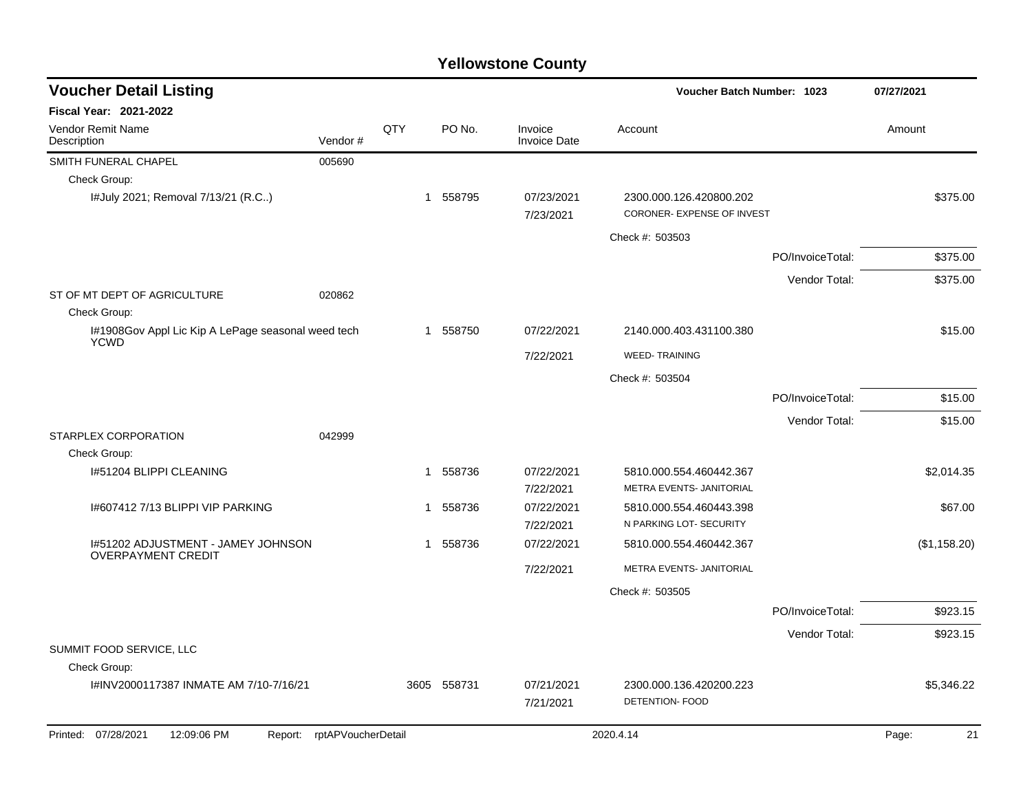| <b>Voucher Detail Listing</b>                                     |                    |              | <b>Voucher Batch Number: 1023</b> |                                | 07/27/2021                                            |                  |              |
|-------------------------------------------------------------------|--------------------|--------------|-----------------------------------|--------------------------------|-------------------------------------------------------|------------------|--------------|
| <b>Fiscal Year: 2021-2022</b>                                     |                    |              |                                   |                                |                                                       |                  |              |
| <b>Vendor Remit Name</b><br>Description                           | Vendor#            | QTY          | PO No.                            | Invoice<br><b>Invoice Date</b> | Account                                               |                  | Amount       |
| SMITH FUNERAL CHAPEL                                              | 005690             |              |                                   |                                |                                                       |                  |              |
| Check Group:                                                      |                    |              |                                   |                                |                                                       |                  |              |
| I#July 2021; Removal 7/13/21 (R.C)                                |                    | $\mathbf{1}$ | 558795                            | 07/23/2021<br>7/23/2021        | 2300.000.126.420800.202<br>CORONER- EXPENSE OF INVEST |                  | \$375.00     |
|                                                                   |                    |              |                                   |                                | Check #: 503503                                       |                  |              |
|                                                                   |                    |              |                                   |                                |                                                       | PO/InvoiceTotal: | \$375.00     |
|                                                                   |                    |              |                                   |                                |                                                       | Vendor Total:    | \$375.00     |
| ST OF MT DEPT OF AGRICULTURE<br>Check Group:                      | 020862             |              |                                   |                                |                                                       |                  |              |
| I#1908Gov Appl Lic Kip A LePage seasonal weed tech<br><b>YCWD</b> |                    | $\mathbf{1}$ | 558750                            | 07/22/2021                     | 2140.000.403.431100.380                               |                  | \$15.00      |
|                                                                   |                    |              |                                   | 7/22/2021                      | <b>WEED-TRAINING</b>                                  |                  |              |
|                                                                   |                    |              |                                   |                                | Check #: 503504                                       |                  |              |
|                                                                   |                    |              |                                   |                                |                                                       | PO/InvoiceTotal: | \$15.00      |
|                                                                   |                    |              |                                   |                                |                                                       | Vendor Total:    | \$15.00      |
| <b>STARPLEX CORPORATION</b><br>Check Group:                       | 042999             |              |                                   |                                |                                                       |                  |              |
| I#51204 BLIPPI CLEANING                                           |                    | 1            | 558736                            | 07/22/2021                     | 5810.000.554.460442.367                               |                  | \$2,014.35   |
|                                                                   |                    |              |                                   | 7/22/2021                      | METRA EVENTS- JANITORIAL                              |                  |              |
| 1#607412 7/13 BLIPPI VIP PARKING                                  |                    | 1            | 558736                            | 07/22/2021                     | 5810.000.554.460443.398                               |                  | \$67.00      |
|                                                                   |                    |              |                                   | 7/22/2021                      | N PARKING LOT- SECURITY                               |                  |              |
| 1#51202 ADJUSTMENT - JAMEY JOHNSON<br><b>OVERPAYMENT CREDIT</b>   |                    | 1            | 558736                            | 07/22/2021                     | 5810.000.554.460442.367                               |                  | (\$1,158.20) |
|                                                                   |                    |              |                                   | 7/22/2021                      | METRA EVENTS- JANITORIAL                              |                  |              |
|                                                                   |                    |              |                                   |                                | Check #: 503505                                       |                  |              |
|                                                                   |                    |              |                                   |                                |                                                       | PO/InvoiceTotal: | \$923.15     |
|                                                                   |                    |              |                                   |                                |                                                       | Vendor Total:    | \$923.15     |
| SUMMIT FOOD SERVICE, LLC                                          |                    |              |                                   |                                |                                                       |                  |              |
| Check Group:                                                      |                    |              |                                   |                                |                                                       |                  |              |
| I#INV2000117387 INMATE AM 7/10-7/16/21                            |                    |              | 3605 558731                       | 07/21/2021<br>7/21/2021        | 2300.000.136.420200.223<br><b>DETENTION- FOOD</b>     |                  | \$5,346.22   |
| Printed: 07/28/2021<br>12:09:06 PM<br>Report:                     | rptAPVoucherDetail |              |                                   |                                | 2020.4.14                                             |                  | Page:<br>21  |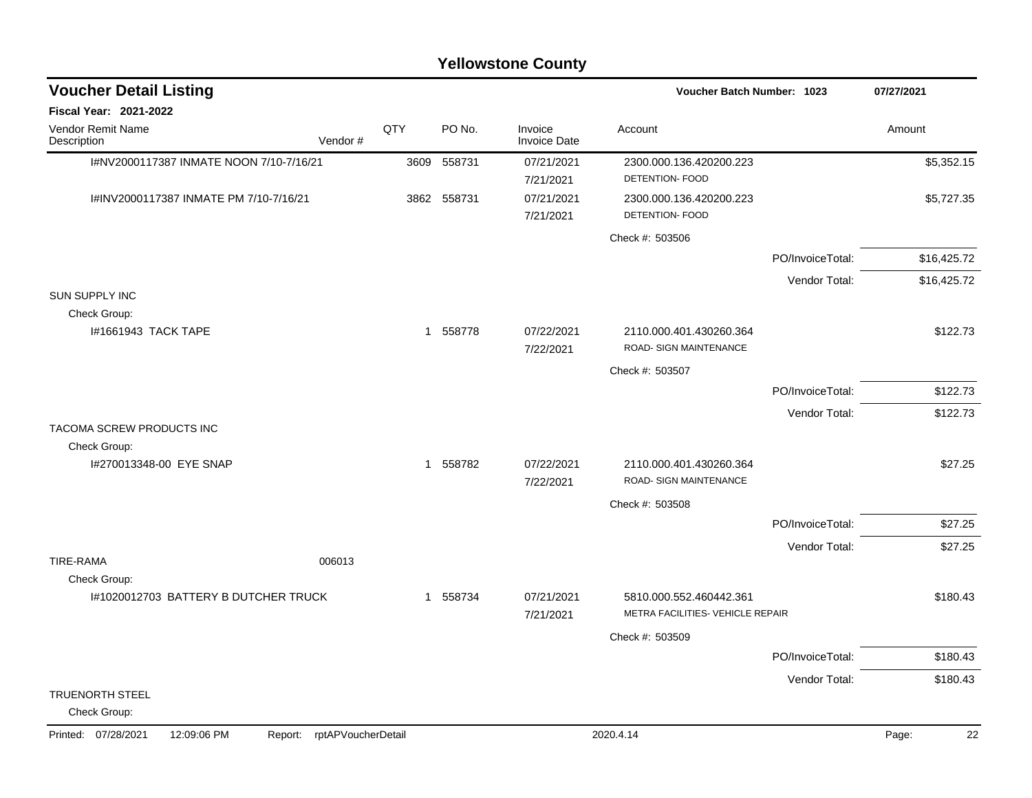|                                                      |                    |      |          | <b>Yellowstone County</b> |                                                             |                  |             |
|------------------------------------------------------|--------------------|------|----------|---------------------------|-------------------------------------------------------------|------------------|-------------|
| <b>Voucher Detail Listing</b>                        |                    |      |          |                           | Voucher Batch Number: 1023                                  |                  | 07/27/2021  |
| Fiscal Year: 2021-2022                               |                    |      |          |                           |                                                             |                  |             |
| Vendor Remit Name<br>Description                     | Vendor#            | QTY  | PO No.   | Invoice<br>Invoice Date   | Account                                                     |                  | Amount      |
| I#NV2000117387 INMATE NOON 7/10-7/16/21              |                    | 3609 | 558731   | 07/21/2021<br>7/21/2021   | 2300.000.136.420200.223<br>DETENTION- FOOD                  |                  | \$5,352.15  |
| I#INV2000117387 INMATE PM 7/10-7/16/21               |                    | 3862 | 558731   | 07/21/2021<br>7/21/2021   | 2300.000.136.420200.223<br>DETENTION- FOOD                  |                  | \$5,727.35  |
|                                                      |                    |      |          |                           | Check #: 503506                                             |                  |             |
|                                                      |                    |      |          |                           |                                                             | PO/InvoiceTotal: | \$16,425.72 |
|                                                      |                    |      |          |                           |                                                             | Vendor Total:    | \$16,425.72 |
| <b>SUN SUPPLY INC</b><br>Check Group:                |                    |      |          |                           |                                                             |                  |             |
| 1#1661943 TACK TAPE                                  |                    |      | 1 558778 | 07/22/2021<br>7/22/2021   | 2110.000.401.430260.364<br>ROAD- SIGN MAINTENANCE           |                  | \$122.73    |
|                                                      |                    |      |          |                           | Check #: 503507                                             |                  |             |
|                                                      |                    |      |          |                           |                                                             | PO/InvoiceTotal: | \$122.73    |
|                                                      |                    |      |          |                           |                                                             | Vendor Total:    | \$122.73    |
| TACOMA SCREW PRODUCTS INC                            |                    |      |          |                           |                                                             |                  |             |
| Check Group:<br>I#270013348-00 EYE SNAP              |                    |      | 1 558782 | 07/22/2021<br>7/22/2021   | 2110.000.401.430260.364<br>ROAD- SIGN MAINTENANCE           |                  | \$27.25     |
|                                                      |                    |      |          |                           | Check #: 503508                                             |                  |             |
|                                                      |                    |      |          |                           |                                                             | PO/InvoiceTotal: | \$27.25     |
|                                                      |                    |      |          |                           |                                                             | Vendor Total:    | \$27.25     |
| <b>TIRE-RAMA</b>                                     | 006013             |      |          |                           |                                                             |                  |             |
| Check Group:<br>I#1020012703 BATTERY B DUTCHER TRUCK |                    | 1    | 558734   | 07/21/2021<br>7/21/2021   | 5810.000.552.460442.361<br>METRA FACILITIES- VEHICLE REPAIR |                  | \$180.43    |
|                                                      |                    |      |          |                           | Check #: 503509                                             |                  |             |
|                                                      |                    |      |          |                           |                                                             | PO/InvoiceTotal: | \$180.43    |
|                                                      |                    |      |          |                           |                                                             | Vendor Total:    | \$180.43    |
| TRUENORTH STEEL<br>Check Group:                      |                    |      |          |                           |                                                             |                  |             |
| Printed: 07/28/2021<br>12:09:06 PM<br>Report:        | rptAPVoucherDetail |      |          |                           | 2020.4.14                                                   |                  | 22<br>Page: |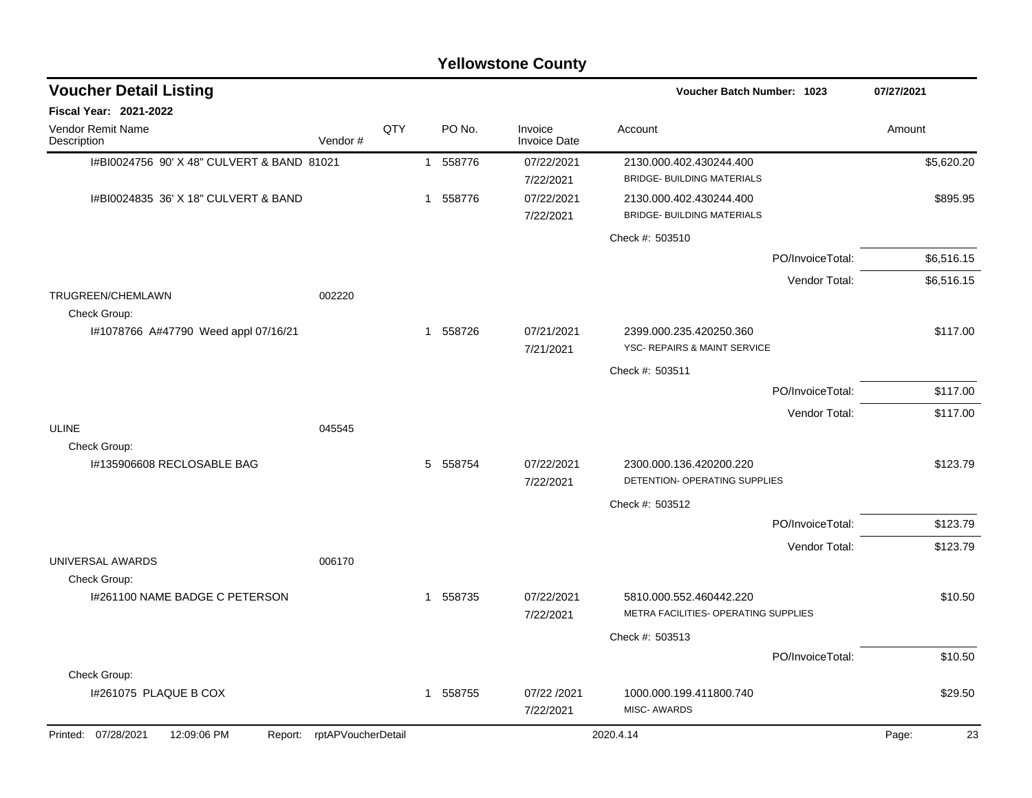|                                            | <b>Yellowstone County</b>  |     |              |                                |                                                                 |                  |             |  |  |  |  |  |
|--------------------------------------------|----------------------------|-----|--------------|--------------------------------|-----------------------------------------------------------------|------------------|-------------|--|--|--|--|--|
| <b>Voucher Detail Listing</b>              |                            |     |              |                                | Voucher Batch Number: 1023                                      |                  | 07/27/2021  |  |  |  |  |  |
| Fiscal Year: 2021-2022                     |                            |     |              |                                |                                                                 |                  |             |  |  |  |  |  |
| Vendor Remit Name<br>Description           | Vendor#                    | QTY | PO No.       | Invoice<br><b>Invoice Date</b> | Account                                                         |                  | Amount      |  |  |  |  |  |
| I#BI0024756 90' X 48" CULVERT & BAND 81021 |                            |     | 558776<br>-1 | 07/22/2021<br>7/22/2021        | 2130.000.402.430244.400<br><b>BRIDGE- BUILDING MATERIALS</b>    |                  | \$5,620.20  |  |  |  |  |  |
| I#BI0024835 36' X 18" CULVERT & BAND       |                            |     | 558776<br>1  | 07/22/2021<br>7/22/2021        | 2130.000.402.430244.400<br><b>BRIDGE- BUILDING MATERIALS</b>    |                  | \$895.95    |  |  |  |  |  |
|                                            |                            |     |              |                                | Check #: 503510                                                 |                  |             |  |  |  |  |  |
|                                            |                            |     |              |                                |                                                                 | PO/InvoiceTotal: | \$6,516.15  |  |  |  |  |  |
|                                            |                            |     |              |                                |                                                                 | Vendor Total:    | \$6,516.15  |  |  |  |  |  |
| TRUGREEN/CHEMLAWN<br>Check Group:          | 002220                     |     |              |                                |                                                                 |                  |             |  |  |  |  |  |
| I#1078766 A#47790 Weed appl 07/16/21       |                            |     | 558726<br>-1 | 07/21/2021<br>7/21/2021        | 2399.000.235.420250.360<br>YSC- REPAIRS & MAINT SERVICE         |                  | \$117.00    |  |  |  |  |  |
|                                            |                            |     |              |                                | Check #: 503511                                                 |                  |             |  |  |  |  |  |
|                                            |                            |     |              |                                |                                                                 | PO/InvoiceTotal: | \$117.00    |  |  |  |  |  |
|                                            |                            |     |              |                                |                                                                 | Vendor Total:    | \$117.00    |  |  |  |  |  |
| <b>ULINE</b><br>Check Group:               | 045545                     |     |              |                                |                                                                 |                  |             |  |  |  |  |  |
| I#135906608 RECLOSABLE BAG                 |                            |     | 5 558754     | 07/22/2021<br>7/22/2021        | 2300.000.136.420200.220<br>DETENTION- OPERATING SUPPLIES        |                  | \$123.79    |  |  |  |  |  |
|                                            |                            |     |              |                                | Check #: 503512                                                 |                  |             |  |  |  |  |  |
|                                            |                            |     |              |                                |                                                                 | PO/InvoiceTotal: | \$123.79    |  |  |  |  |  |
| UNIVERSAL AWARDS                           | 006170                     |     |              |                                |                                                                 | Vendor Total:    | \$123.79    |  |  |  |  |  |
| Check Group:                               |                            |     |              |                                |                                                                 |                  |             |  |  |  |  |  |
| I#261100 NAME BADGE C PETERSON             |                            |     | 558735<br>1  | 07/22/2021<br>7/22/2021        | 5810.000.552.460442.220<br>METRA FACILITIES- OPERATING SUPPLIES |                  | \$10.50     |  |  |  |  |  |
|                                            |                            |     |              |                                | Check #: 503513                                                 |                  |             |  |  |  |  |  |
|                                            |                            |     |              |                                |                                                                 | PO/InvoiceTotal: | \$10.50     |  |  |  |  |  |
| Check Group:                               |                            |     |              |                                |                                                                 |                  |             |  |  |  |  |  |
| I#261075 PLAQUE B COX                      |                            |     | 558755<br>1  | 07/22 /2021<br>7/22/2021       | 1000.000.199.411800.740<br>MISC- AWARDS                         |                  | \$29.50     |  |  |  |  |  |
| Printed: 07/28/2021<br>12:09:06 PM         | Report: rptAPVoucherDetail |     |              |                                | 2020.4.14                                                       |                  | 23<br>Page: |  |  |  |  |  |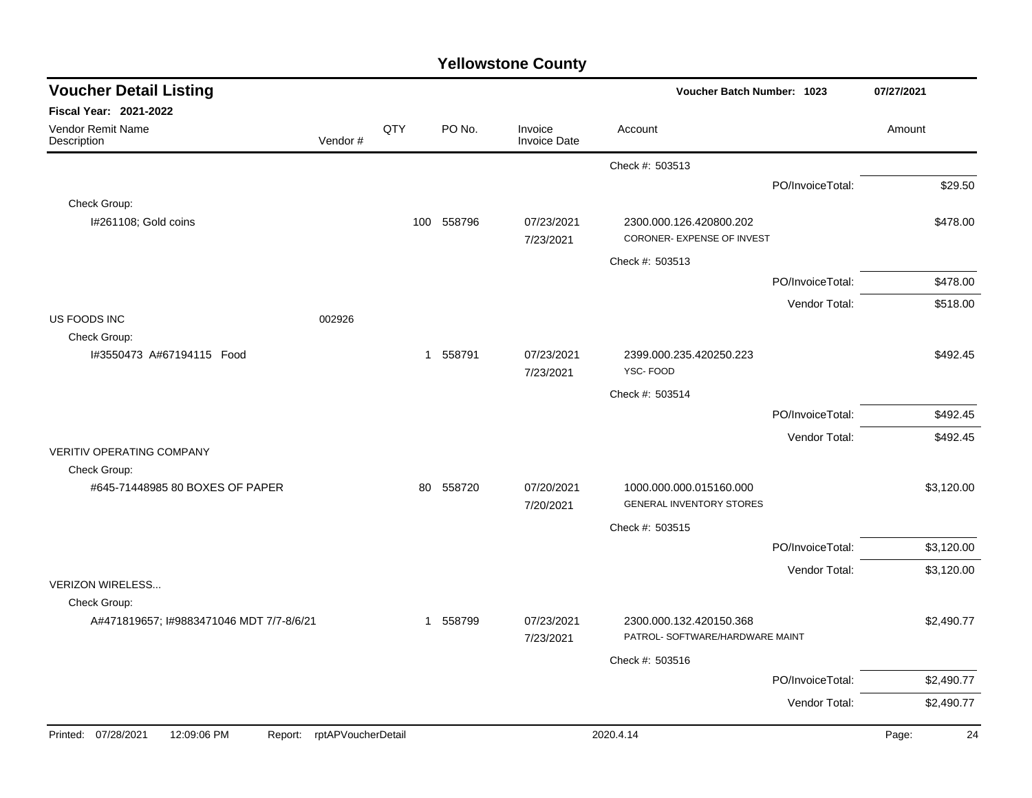| <b>Voucher Detail Listing</b>                            |                    |     |            |                                | Voucher Batch Number: 1023                            | 07/27/2021       |             |
|----------------------------------------------------------|--------------------|-----|------------|--------------------------------|-------------------------------------------------------|------------------|-------------|
| Fiscal Year: 2021-2022                                   |                    |     |            |                                |                                                       |                  |             |
| Vendor Remit Name<br>Description                         | Vendor#            | QTY | PO No.     | Invoice<br><b>Invoice Date</b> | Account                                               |                  | Amount      |
|                                                          |                    |     |            |                                | Check #: 503513                                       |                  |             |
|                                                          |                    |     |            |                                |                                                       | PO/InvoiceTotal: | \$29.50     |
| Check Group:                                             |                    |     |            |                                |                                                       |                  |             |
| I#261108; Gold coins                                     |                    |     | 100 558796 | 07/23/2021<br>7/23/2021        | 2300.000.126.420800.202<br>CORONER- EXPENSE OF INVEST |                  | \$478.00    |
|                                                          |                    |     |            |                                | Check #: 503513                                       |                  |             |
|                                                          |                    |     |            |                                |                                                       | PO/InvoiceTotal: | \$478.00    |
|                                                          |                    |     |            |                                |                                                       | Vendor Total:    | \$518.00    |
| US FOODS INC                                             | 002926             |     |            |                                |                                                       |                  |             |
| Check Group:<br>I#3550473 A#67194115 Food                |                    |     | 1 558791   | 07/23/2021<br>7/23/2021        | 2399.000.235.420250.223<br>YSC-FOOD                   |                  | \$492.45    |
|                                                          |                    |     |            |                                | Check #: 503514                                       |                  |             |
|                                                          |                    |     |            |                                |                                                       | PO/InvoiceTotal: | \$492.45    |
|                                                          |                    |     |            |                                |                                                       | Vendor Total:    | \$492.45    |
| <b>VERITIV OPERATING COMPANY</b>                         |                    |     |            |                                |                                                       |                  |             |
| Check Group:<br>#645-71448985 80 BOXES OF PAPER          |                    | 80  | 558720     | 07/20/2021                     | 1000.000.000.015160.000                               |                  | \$3,120.00  |
|                                                          |                    |     |            | 7/20/2021                      | <b>GENERAL INVENTORY STORES</b>                       |                  |             |
|                                                          |                    |     |            |                                | Check #: 503515                                       |                  |             |
|                                                          |                    |     |            |                                |                                                       | PO/InvoiceTotal: | \$3,120.00  |
|                                                          |                    |     |            |                                |                                                       | Vendor Total:    | \$3,120.00  |
| <b>VERIZON WIRELESS</b>                                  |                    |     |            |                                |                                                       |                  |             |
| Check Group:<br>A#471819657; I#9883471046 MDT 7/7-8/6/21 |                    |     | 1 558799   | 07/23/2021                     | 2300.000.132.420150.368                               |                  | \$2,490.77  |
|                                                          |                    |     |            | 7/23/2021                      | PATROL- SOFTWARE/HARDWARE MAINT                       |                  |             |
|                                                          |                    |     |            |                                | Check #: 503516                                       |                  |             |
|                                                          |                    |     |            |                                |                                                       | PO/InvoiceTotal: | \$2,490.77  |
|                                                          |                    |     |            |                                |                                                       | Vendor Total:    | \$2,490.77  |
| Printed: 07/28/2021<br>12:09:06 PM<br>Report:            | rptAPVoucherDetail |     |            |                                | 2020.4.14                                             |                  | 24<br>Page: |
|                                                          |                    |     |            |                                |                                                       |                  |             |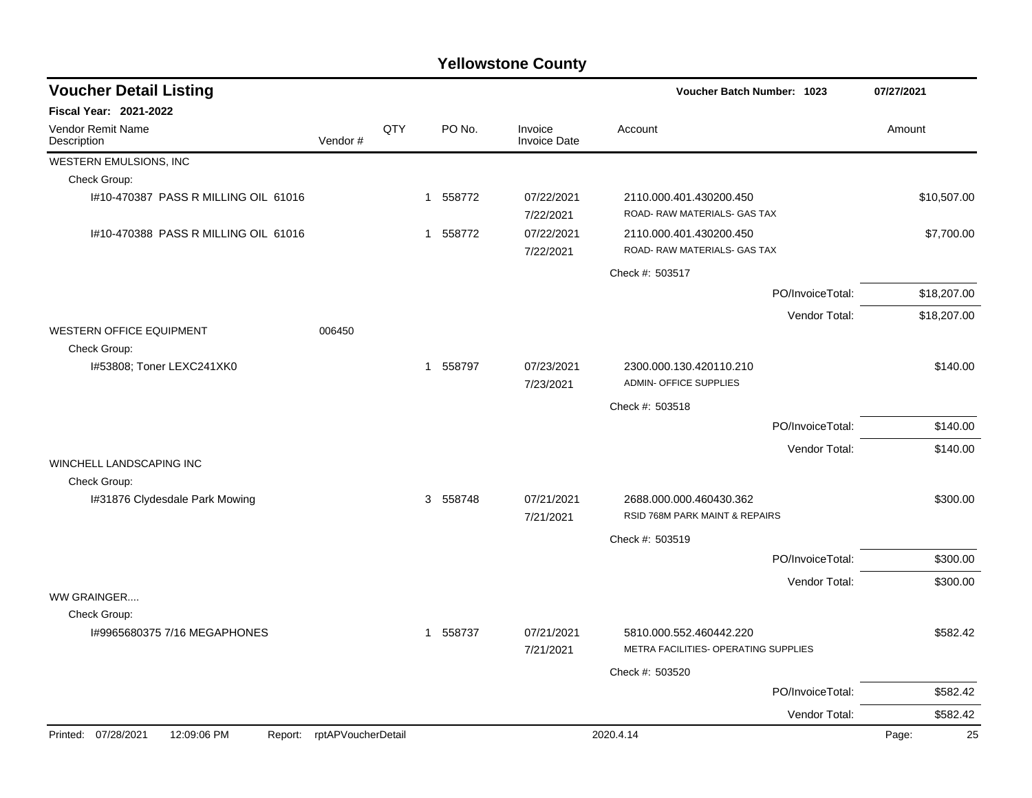| <b>Voucher Detail Listing</b>                 |                    |     |          | Voucher Batch Number: 1023     |                                                                 | 07/27/2021       |             |
|-----------------------------------------------|--------------------|-----|----------|--------------------------------|-----------------------------------------------------------------|------------------|-------------|
| Fiscal Year: 2021-2022                        |                    |     |          |                                |                                                                 |                  |             |
| Vendor Remit Name<br>Description              | Vendor#            | QTY | PO No.   | Invoice<br><b>Invoice Date</b> | Account                                                         |                  | Amount      |
| WESTERN EMULSIONS, INC                        |                    |     |          |                                |                                                                 |                  |             |
| Check Group:                                  |                    |     |          |                                |                                                                 |                  |             |
| 1#10-470387 PASS R MILLING OIL 61016          |                    |     | 1 558772 | 07/22/2021<br>7/22/2021        | 2110.000.401.430200.450<br>ROAD-RAW MATERIALS- GAS TAX          |                  | \$10,507.00 |
| 1#10-470388 PASS R MILLING OIL 61016          |                    |     | 1 558772 | 07/22/2021<br>7/22/2021        | 2110.000.401.430200.450<br>ROAD- RAW MATERIALS- GAS TAX         |                  | \$7,700.00  |
|                                               |                    |     |          |                                | Check #: 503517                                                 |                  |             |
|                                               |                    |     |          |                                |                                                                 | PO/InvoiceTotal: | \$18,207.00 |
|                                               |                    |     |          |                                |                                                                 | Vendor Total:    | \$18,207.00 |
| WESTERN OFFICE EQUIPMENT<br>Check Group:      | 006450             |     |          |                                |                                                                 |                  |             |
| I#53808; Toner LEXC241XK0                     |                    |     | 1 558797 | 07/23/2021<br>7/23/2021        | 2300.000.130.420110.210<br><b>ADMIN- OFFICE SUPPLIES</b>        |                  | \$140.00    |
|                                               |                    |     |          |                                | Check #: 503518                                                 |                  |             |
|                                               |                    |     |          |                                |                                                                 | PO/InvoiceTotal: | \$140.00    |
|                                               |                    |     |          |                                |                                                                 | Vendor Total:    | \$140.00    |
| WINCHELL LANDSCAPING INC                      |                    |     |          |                                |                                                                 |                  |             |
| Check Group:                                  |                    |     |          |                                |                                                                 |                  |             |
| I#31876 Clydesdale Park Mowing                |                    |     | 3 558748 | 07/21/2021<br>7/21/2021        | 2688.000.000.460430.362<br>RSID 768M PARK MAINT & REPAIRS       |                  | \$300.00    |
|                                               |                    |     |          |                                | Check #: 503519                                                 |                  |             |
|                                               |                    |     |          |                                |                                                                 | PO/InvoiceTotal: | \$300.00    |
|                                               |                    |     |          |                                |                                                                 | Vendor Total:    | \$300.00    |
| WW GRAINGER                                   |                    |     |          |                                |                                                                 |                  |             |
| Check Group:                                  |                    |     |          |                                |                                                                 |                  |             |
| I#9965680375 7/16 MEGAPHONES                  |                    |     | 1 558737 | 07/21/2021<br>7/21/2021        | 5810.000.552.460442.220<br>METRA FACILITIES- OPERATING SUPPLIES |                  | \$582.42    |
|                                               |                    |     |          |                                | Check #: 503520                                                 |                  |             |
|                                               |                    |     |          |                                |                                                                 | PO/InvoiceTotal: | \$582.42    |
|                                               |                    |     |          |                                |                                                                 | Vendor Total:    | \$582.42    |
| Printed: 07/28/2021<br>12:09:06 PM<br>Report: | rptAPVoucherDetail |     |          |                                | 2020.4.14                                                       |                  | 25<br>Page: |